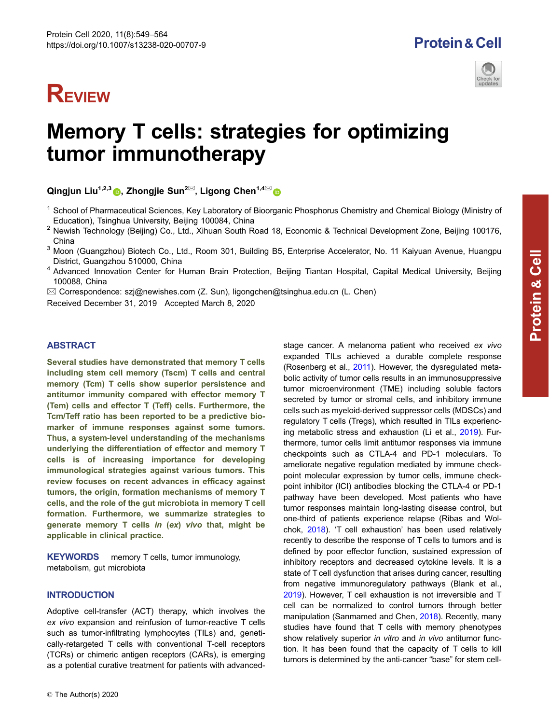# **REVIEW**





# Memory T cells: strategies for optimizing tumor immunotherapy

Qingjun Liu<sup>1,2,[3](http://orcid.org/0000-0002-8923-3921)</sup> , Zhongjie Sun<sup>2 $\boxtimes$ </sup>, Ligong Chen<sup>1,4 $\boxtimes$ </sup> o

- $1$  School of Pharmaceutical Sciences, Key Laboratory of Bioorganic Phosphorus Chemistry and Chemical Biology (Ministry of Education), Tsinghua University, Beijing 100084, China
- <sup>2</sup> Newish Technology (Beijing) Co., Ltd., Xihuan South Road 18, Economic & Technical Development Zone, Beijing 100176, China
- <sup>3</sup> Moon (Guangzhou) Biotech Co., Ltd., Room 301, Building B5, Enterprise Accelerator, No. 11 Kaiyuan Avenue, Huangpu District, Guangzhou 510000, China
- <sup>4</sup> Advanced Innovation Center for Human Brain Protection, Beijing Tiantan Hospital, Capital Medical University, Beijing 100088, China

 $\boxtimes$  Correspondence: szj@newishes.com (Z. Sun), ligongchen@tsinghua.edu.cn (L. Chen)

Received December 31, 2019 Accepted March 8, 2020

# **ABSTRACT**

Several studies have demonstrated that memory T cells including stem cell memory (Tscm) T cells and central memory (Tcm) T cells show superior persistence and antitumor immunity compared with effector memory T (Tem) cells and effector T (Teff) cells. Furthermore, the Tcm/Teff ratio has been reported to be a predictive biomarker of immune responses against some tumors. Thus, a system-level understanding of the mechanisms underlying the differentiation of effector and memory T cells is of increasing importance for developing immunological strategies against various tumors. This review focuses on recent advances in efficacy against tumors, the origin, formation mechanisms of memory T cells, and the role of the gut microbiota in memory T cell formation. Furthermore, we summarize strategies to generate memory T cells in (ex) vivo that, might be applicable in clinical practice.

KEYWORDS memory T cells, tumor immunology, metabolism, gut microbiota

# **INTRODUCTION**

Adoptive cell-transfer (ACT) therapy, which involves the ex vivo expansion and reinfusion of tumor-reactive T cells such as tumor-infiltrating lymphocytes (TILs) and, genetically-retargeted T cells with conventional T-cell receptors (TCRs) or chimeric antigen receptors (CARs), is emerging as a potential curative treatment for patients with advancedstage cancer. A melanoma patient who received ex vivo expanded TILs achieved a durable complete response (Rosenberg et al., [2011](#page-14-0)). However, the dysregulated metabolic activity of tumor cells results in an immunosuppressive tumor microenvironment (TME) including soluble factors secreted by tumor or stromal cells, and inhibitory immune cells such as myeloid-derived suppressor cells (MDSCs) and regulatory T cells (Tregs), which resulted in TILs experiencing metabolic stress and exhaustion (Li et al., [2019\)](#page-13-0). Furthermore, tumor cells limit antitumor responses via immune checkpoints such as CTLA-4 and PD-1 moleculars. To ameliorate negative regulation mediated by immune checkpoint molecular expression by tumor cells, immune checkpoint inhibitor (ICI) antibodies blocking the CTLA-4 or PD-1 pathway have been developed. Most patients who have tumor responses maintain long-lasting disease control, but one-third of patients experience relapse (Ribas and Wolchok, [2018](#page-13-0)). 'T cell exhaustion' has been used relatively recently to describe the response of T cells to tumors and is defined by poor effector function, sustained expression of inhibitory receptors and decreased cytokine levels. It is a state of T cell dysfunction that arises during cancer, resulting from negative immunoregulatory pathways (Blank et al., [2019](#page-11-0)). However, T cell exhaustion is not irreversible and T cell can be normalized to control tumors through better manipulation (Sanmamed and Chen, [2018](#page-14-0)). Recently, many studies have found that T cells with memory phenotypes show relatively superior in vitro and in vivo antitumor function. It has been found that the capacity of T cells to kill tumors is determined by the anti-cancer "base" for stem cell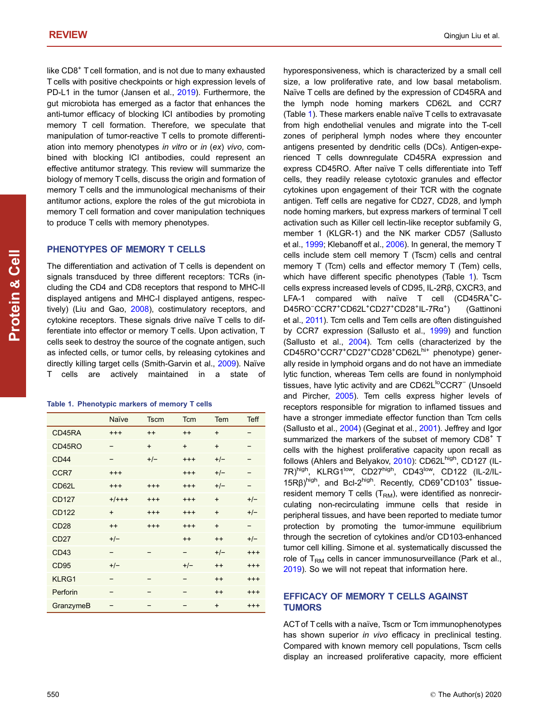like CD8<sup>+</sup> T cell formation, and is not due to many exhausted T cells with positive checkpoints or high expression levels of PD-L1 in the tumor (Jansen et al., [2019](#page-12-0)). Furthermore, the gut microbiota has emerged as a factor that enhances the anti-tumor efficacy of blocking ICI antibodies by promoting memory T cell formation. Therefore, we speculate that manipulation of tumor-reactive T cells to promote differentiation into memory phenotypes in vitro or in (ex) vivo, combined with blocking ICI antibodies, could represent an effective antitumor strategy. This review will summarize the biology of memory T cells, discuss the origin and formation of memory T cells and the immunological mechanisms of their antitumor actions, explore the roles of the gut microbiota in memory T cell formation and cover manipulation techniques to produce T cells with memory phenotypes.

# PHENOTYPES OF MEMORY T CELLS

The differentiation and activation of T cells is dependent on signals transduced by three different receptors: TCRs (including the CD4 and CD8 receptors that respond to MHC-II displayed antigens and MHC-I displayed antigens, respec-tively) (Liu and Gao, [2008\)](#page-13-0), costimulatory receptors, and cytokine receptors. These signals drive naïve T cells to differentiate into effector or memory T cells. Upon activation, T cells seek to destroy the source of the cognate antigen, such as infected cells, or tumor cells, by releasing cytokines and directly killing target cells (Smith-Garvin et al., [2009](#page-14-0)). Naïve T cells are actively maintained in a state of

| Table 1. Phenotypic markers of memory T cells |  |  |
|-----------------------------------------------|--|--|
|                                               |  |  |

|                  | Naïve    | <b>Tscm</b>              | <b>Tcm</b> | Tem       | <b>Teff</b> |
|------------------|----------|--------------------------|------------|-----------|-------------|
| CD45RA           | $^{+++}$ | $++$                     | $^{++}$    | $\ddot{}$ |             |
| CD45RO           |          | $+$                      | $+$        | $+$       |             |
| CD44             |          | $+/-$                    | $^{+++}$   | $+/-$     |             |
| CCR <sub>7</sub> | $^{+++}$ |                          | $^{+++}$   | $+/-$     |             |
| CD62L            | $^{+++}$ | $^{+++}$                 | $^{+++}$   | $+/-$     |             |
| <b>CD127</b>     | $+/+++$  | $+++$                    | $^{+++}$   | $+$       | $+/-$       |
| <b>CD122</b>     | $+$      | $+++$                    | $^{+++}$   | $+$       | $+/-$       |
| CD28             | $++$     | $+++$                    | $^{+++}$   | $+$       |             |
| CD27             | $+/-$    |                          | $++$       | $++$      | $+/-$       |
| CD43             | -        |                          | -          | $+/-$     | $^{+++}$    |
| CD <sub>95</sub> | $+/-$    |                          | $+/-$      | $++$      | $^{+++}$    |
| KLRG1            |          | $\overline{\phantom{0}}$ | -          | $++$      | $^{+++}$    |
| Perforin         |          |                          |            | $++$      | $^{+++}$    |
| GranzymeB        |          | -                        | -          | $\ddot{}$ | $^{+++}$    |

hyporesponsiveness, which is characterized by a small cell size, a low proliferative rate, and low basal metabolism. Naïve T cells are defined by the expression of CD45RA and the lymph node homing markers CD62L and CCR7 (Table 1). These markers enable naïve T cells to extravasate from high endothelial venules and migrate into the T-cell zones of peripheral lymph nodes where they encounter antigens presented by dendritic cells (DCs). Antigen-experienced T cells downregulate CD45RA expression and express CD45RO. After naïve T cells differentiate into Teff cells, they readily release cytotoxic granules and effector cytokines upon engagement of their TCR with the cognate antigen. Teff cells are negative for CD27, CD28, and lymph node homing markers, but express markers of terminal T cell activation such as Killer cell lectin-like receptor subfamily G, member 1 (KLGR-1) and the NK marker CD57 (Sallusto et al., [1999;](#page-14-0) Klebanoff et al., [2006\)](#page-12-0). In general, the memory T cells include stem cell memory T (Tscm) cells and central memory T (Tcm) cells and effector memory T (Tem) cells, which have different specific phenotypes (Table 1). Tscm cells express increased levels of CD95, IL-2Rβ, CXCR3, and LFA-1 compared with naïve T cell (CD45RA<sup>+</sup>C-D45RO<sup>-</sup>CCR7<sup>+</sup>CD62L<sup>+</sup>CD27<sup>+</sup>CD28<sup>+</sup>IL-7Rα<sup>+</sup> ) (Gattinoni et al., [2011\)](#page-11-0). Tcm cells and Tem cells are often distinguished by CCR7 expression (Sallusto et al., [1999](#page-14-0)) and function (Sallusto et al., [2004](#page-14-0)). Tcm cells (characterized by the CD45RO<sup>+</sup>CCR7<sup>+</sup>CD27<sup>+</sup>CD28<sup>+</sup>CD62L<sup>hi+</sup> phenotype) generally reside in lymphoid organs and do not have an immediate lytic function, whereas Tem cells are found in nonlymphoid tissues, have lytic activity and are CD62L<sup>lo</sup>CCR7<sup>−</sup> (Unsoeld and Pircher, [2005\)](#page-14-0). Tem cells express higher levels of receptors responsible for migration to inflamed tissues and have a stronger immediate effector function than Tcm cells (Sallusto et al., [2004\)](#page-14-0) (Geginat et al., [2001\)](#page-11-0). Jeffrey and Igor summarized the markers of the subset of memory CD8<sup>+</sup> T cells with the highest proliferative capacity upon recall as follows (Ahlers and Belyakov, [2010\)](#page-10-0): CD62L<sup>high</sup>, CD127 (IL-7R)high, KLRG1<sup>low</sup>, CD27high, CD43<sup>low</sup>, CD122 (IL-2/IL-15Rβ)<sup>high</sup>, and Bcl-2<sup>high</sup>. Recently, CD69<sup>+</sup>CD103<sup>+</sup> tissueresident memory T cells  $(T<sub>RM</sub>)$ , were identified as nonrecirculating non-recirculating immune cells that reside in peripheral tissues, and have been reported to mediate tumor protection by promoting the tumor-immune equilibrium through the secretion of cytokines and/or CD103-enhanced tumor cell killing. Simone et al. systematically discussed the role of  $T<sub>RM</sub>$  cells in cancer immunosurveillance (Park et al., [2019](#page-13-0)). So we will not repeat that information here.

# EFFICACY OF MEMORY T CELLS AGAINST TUMORS

ACT of T cells with a naïve, Tscm or Tcm immunophenotypes has shown superior in vivo efficacy in preclinical testing. Compared with known memory cell populations, Tscm cells display an increased proliferative capacity, more efficient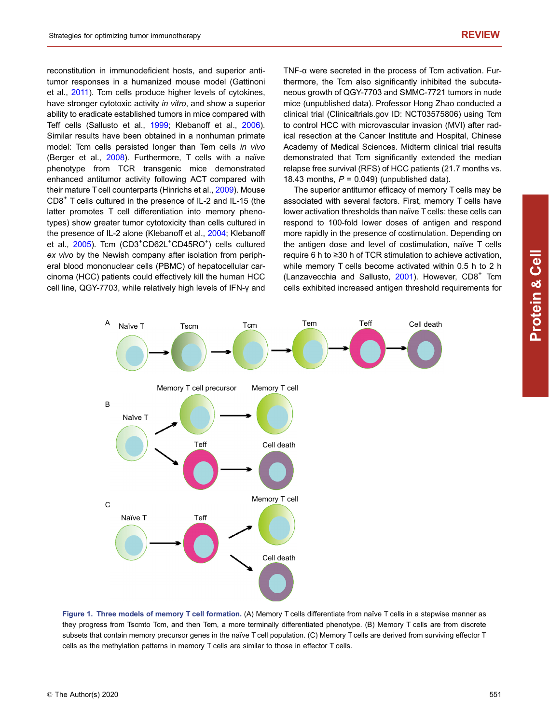<span id="page-2-0"></span>reconstitution in immunodeficient hosts, and superior antitumor responses in a humanized mouse model (Gattinoni et al., [2011](#page-11-0)). Tcm cells produce higher levels of cytokines, have stronger cytotoxic activity in vitro, and show a superior ability to eradicate established tumors in mice compared with Teff cells (Sallusto et al., [1999;](#page-14-0) Klebanoff et al., [2006](#page-12-0)). Similar results have been obtained in a nonhuman primate model: Tcm cells persisted longer than Tem cells in vivo (Berger et al., [2008](#page-11-0)). Furthermore, T cells with a naïve phenotype from TCR transgenic mice demonstrated enhanced antitumor activity following ACT compared with their mature T cell counterparts (Hinrichs et al., [2009\)](#page-12-0). Mouse CD8<sup>+</sup> T cells cultured in the presence of IL-2 and IL-15 (the latter promotes T cell differentiation into memory phenotypes) show greater tumor cytotoxicity than cells cultured in the presence of IL-2 alone (Klebanoff et al., [2004](#page-12-0); Klebanoff et al., [2005](#page-12-0)). Tcm (CD3<sup>+</sup>CD62L<sup>+</sup>CD45RO<sup>+</sup>) cells cultured ex vivo by the Newish company after isolation from peripheral blood mononuclear cells (PBMC) of hepatocellular carcinoma (HCC) patients could effectively kill the human HCC cell line, QGY-7703, while relatively high levels of IFN-γ and TNF-α were secreted in the process of Tcm activation. Furthermore, the Tcm also significantly inhibited the subcutaneous growth of QGY-7703 and SMMC-7721 tumors in nude mice (unpublished data). Professor Hong Zhao conducted a clinical trial (Clinicaltrials.gov ID: NCT03575806) using Tcm to control HCC with microvascular invasion (MVI) after radical resection at the Cancer Institute and Hospital, Chinese Academy of Medical Sciences. Midterm clinical trial results demonstrated that Tcm significantly extended the median relapse free survival (RFS) of HCC patients (21.7 months vs. 18.43 months,  $P = 0.049$ ) (unpublished data).

The superior antitumor efficacy of memory T cells may be associated with several factors. First, memory T cells have lower activation thresholds than naïve T cells: these cells can respond to 100-fold lower doses of antigen and respond more rapidly in the presence of costimulation. Depending on the antigen dose and level of costimulation, naïve T cells require 6 h to ≥30 h of TCR stimulation to achieve activation, while memory T cells become activated within 0.5 h to 2 h (Lanzavecchia and Sallusto,  $2001$ ). However, CD8<sup>+</sup> Tcm cells exhibited increased antigen threshold requirements for



Figure 1. Three models of memory T cell formation. (A) Memory T cells differentiate from naïve T cells in a stepwise manner as they progress from Tscmto Tcm, and then Tem, a more terminally differentiated phenotype. (B) Memory T cells are from discrete subsets that contain memory precursor genes in the naïve T cell population. (C) Memory T cells are derived from surviving effector T cells as the methylation patterns in memory T cells are similar to those in effector T cells.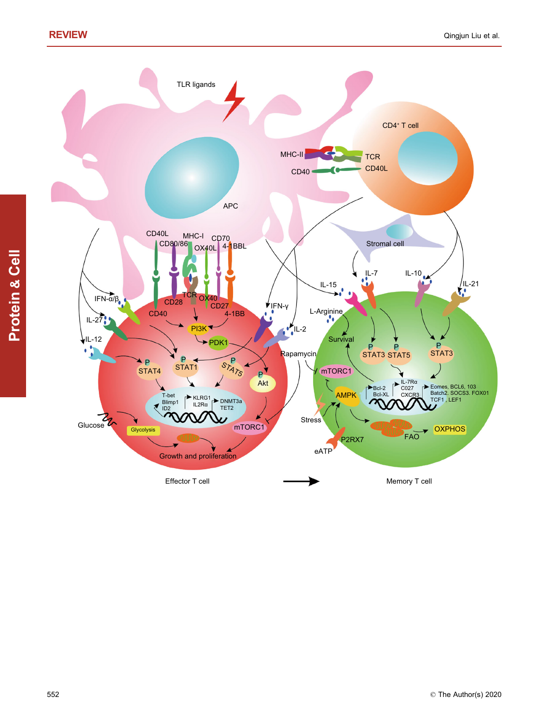

TLR ligands

Effector T cell

Protein & Cell

552 © The Author(s) 2020

**OXPHOS** 

Memory T cell

P STAT3

Eomes, BCL6, 103<br>Batch2. SOCS3. FOX01<br>TCF1 <mark>, L</mark>EF1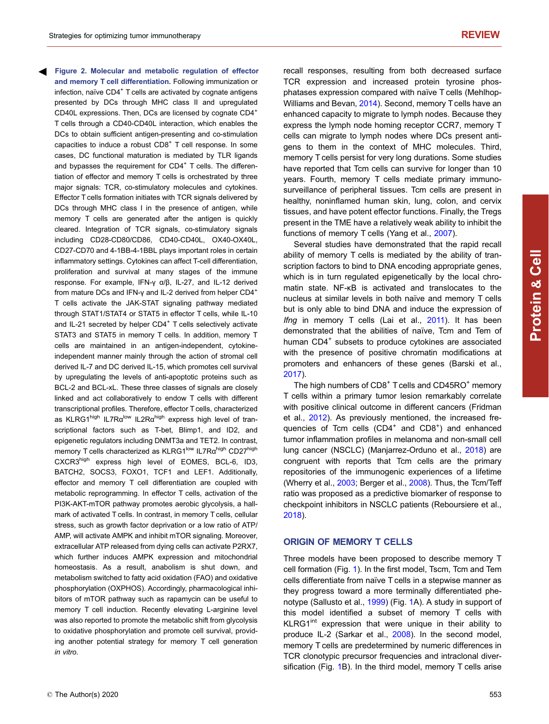<span id="page-4-0"></span>Figure 2. Molecular and metabolic regulation of effector and memory T cell differentiation. Following immunization or infection, naïve CD4<sup>+</sup> T cells are activated by cognate antigens presented by DCs through MHC class II and upregulated CD40L expressions. Then, DCs are licensed by cognate CD4+ T cells through a CD40-CD40L interaction, which enables the DCs to obtain sufficient antigen-presenting and co-stimulation capacities to induce a robust  $CDB<sup>+</sup>$  T cell response. In some cases, DC functional maturation is mediated by TLR ligands and bypasses the requirement for  $CD4<sup>+</sup>$  T cells. The differentiation of effector and memory T cells is orchestrated by three major signals: TCR, co-stimulatory molecules and cytokines. Effector T cells formation initiates with TCR signals delivered by DCs through MHC class I in the presence of antigen, while memory T cells are generated after the antigen is quickly cleared. Integration of TCR signals, co-stimulatory signals including CD28-CD80/CD86, CD40-CD40L, OX40-OX40L, CD27-CD70 and 4-1BB-4-1BBL plays important roles in certain inflammatory settings. Cytokines can affect T-cell differentiation, proliferation and survival at many stages of the immune response. For example, IFN-γ α/β, IL-27, and IL-12 derived from mature DCs and IFN-γ and IL-2 derived from helper CD4+ T cells activate the JAK-STAT signaling pathway mediated through STAT1/STAT4 or STAT5 in effector T cells, while IL-10 and IL-21 secreted by helper CD4<sup>+</sup> T cells selectively activate STAT3 and STAT5 in memory T cells. In addition, memory T cells are maintained in an antigen-independent, cytokineindependent manner mainly through the action of stromal cell derived IL-7 and DC derived IL-15, which promotes cell survival by upregulating the levels of anti-apoptotic proteins such as BCL-2 and BCL-xL. These three classes of signals are closely linked and act collaboratively to endow T cells with different transcriptional profiles. Therefore, effector T cells, characterized as KLRG1high IL7R $\alpha^{low}$  IL2R $\alpha^{high}$  express high level of transcriptional factors such as T-bet, Blimp1, and ID2, and epigenetic regulators including DNMT3a and TET2. In contrast, memory T cells characterized as KLRG1<sup>low</sup> IL7Rα<sup>high</sup> CD27<sup>high</sup> CXCR3high express high level of EOMES, BCL-6, ID3, BATCH2, SOCS3, FOXO1, TCF1 and LEF1. Additionally, effector and memory T cell differentiation are coupled with metabolic reprogramming. In effector T cells, activation of the PI3K-AKT-mTOR pathway promotes aerobic glycolysis, a hallmark of activated T cells. In contrast, in memory T cells, cellular stress, such as growth factor deprivation or a low ratio of ATP/ AMP, will activate AMPK and inhibit mTOR signaling. Moreover, extracellular ATP released from dying cells can activate P2RX7, which further induces AMPK expression and mitochondrial homeostasis. As a result, anabolism is shut down, and metabolism switched to fatty acid oxidation (FAO) and oxidative phosphorylation (OXPHOS). Accordingly, pharmacological inhibitors of mTOR pathway such as rapamycin can be useful to memory T cell induction. Recently elevating L-arginine level was also reported to promote the metabolic shift from glycolysis to oxidative phosphorylation and promote cell survival, providing another potential strategy for memory T cell generation in vitro.

recall responses, resulting from both decreased surface TCR expression and increased protein tyrosine phosphatases expression compared with naïve T cells (Mehlhop-Williams and Bevan, [2014\)](#page-13-0). Second, memory T cells have an enhanced capacity to migrate to lymph nodes. Because they express the lymph node homing receptor CCR7, memory T cells can migrate to lymph nodes where DCs present antigens to them in the context of MHC molecules. Third, memory T cells persist for very long durations. Some studies have reported that Tcm cells can survive for longer than 10 years. Fourth, memory T cells mediate primary immunosurveillance of peripheral tissues. Tcm cells are present in healthy, noninflamed human skin, lung, colon, and cervix tissues, and have potent effector functions. Finally, the Tregs present in the TME have a relatively weak ability to inhibit the functions of memory T cells (Yang et al., [2007\)](#page-14-0).

Several studies have demonstrated that the rapid recall ability of memory T cells is mediated by the ability of transcription factors to bind to DNA encoding appropriate genes, which is in turn regulated epigenetically by the local chromatin state. NF-κB is activated and translocates to the nucleus at similar levels in both naïve and memory T cells but is only able to bind DNA and induce the expression of Ifng in memory T cells (Lai et al., [2011\)](#page-13-0). It has been demonstrated that the abilities of naïve, Tcm and Tem of human CD4<sup>+</sup> subsets to produce cytokines are associated with the presence of positive chromatin modifications at promoters and enhancers of these genes (Barski et al., [2017](#page-10-0)).

The high numbers of CD8<sup>+</sup> T cells and CD45RO<sup>+</sup> memory T cells within a primary tumor lesion remarkably correlate with positive clinical outcome in different cancers (Fridman et al., [2012](#page-11-0)). As previously mentioned, the increased frequencies of Tcm cells (CD4<sup>+</sup> and CD8<sup>+</sup>) and enhanced tumor inflammation profiles in melanoma and non-small cell lung cancer (NSCLC) (Manjarrez-Orduno et al., [2018\)](#page-13-0) are congruent with reports that Tcm cells are the primary repositories of the immunogenic experiences of a lifetime (Wherry et al., [2003;](#page-14-0) Berger et al., [2008\)](#page-11-0). Thus, the Tcm/Teff ratio was proposed as a predictive biomarker of response to checkpoint inhibitors in NSCLC patients (Reboursiere et al., [2018](#page-13-0)).

### ORIGIN OF MEMORY T CELLS

Three models have been proposed to describe memory T cell formation (Fig. [1\)](#page-2-0). In the first model, Tscm, Tcm and Tem cells differentiate from naïve T cells in a stepwise manner as they progress toward a more terminally differentiated phenotype (Sallusto et al., [1999](#page-14-0)) (Fig. [1A](#page-2-0)). A study in support of this model identified a subset of memory T cells with KLRG1<sup>int</sup> expression that were unique in their ability to produce IL-2 (Sarkar et al., [2008\)](#page-14-0). In the second model, memory T cells are predetermined by numeric differences in TCR clonotypic precursor frequencies and intraclonal diversification (Fig. [1B](#page-2-0)). In the third model, memory T cells arise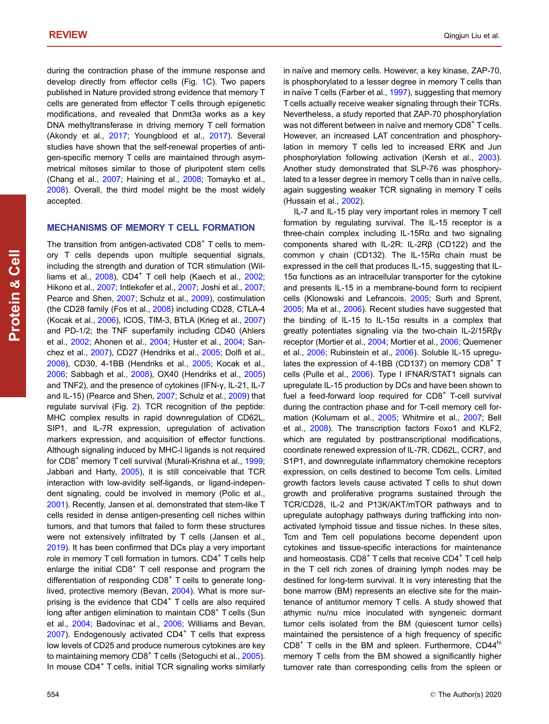during the contraction phase of the immune response and develop directly from effector cells (Fig. [1C](#page-2-0)). Two papers published in Nature provided strong evidence that memory T cells are generated from effector T cells through epigenetic modifications, and revealed that Dnmt3a works as a key DNA methyltransferase in driving memory T cell formation (Akondy et al., [2017](#page-10-0); Youngblood et al., [2017](#page-15-0)). Several studies have shown that the self-renewal properties of antigen-specific memory T cells are maintained through asymmetrical mitoses similar to those of pluripotent stem cells (Chang et al., [2007](#page-11-0); Haining et al., [2008](#page-11-0); Tomayko et al., [2008\)](#page-14-0). Overall, the third model might be the most widely accepted.

# MECHANISMS OF MEMORY T CELL FORMATION

The transition from antigen-activated  $CDB<sup>+</sup>$  T cells to memory T cells depends upon multiple sequential signals, including the strength and duration of TCR stimulation (Williams et al.,  $2008$ ), CD4<sup>+</sup> T cell help (Kaech et al., [2002](#page-12-0); Hikono et al., [2007](#page-12-0); Intlekofer et al., [2007](#page-12-0); Joshi et al., [2007](#page-12-0); Pearce and Shen, [2007;](#page-13-0) Schulz et al., [2009](#page-14-0)), costimulation (the CD28 family (Fos et al., [2008\)](#page-11-0) including CD28, CTLA-4 (Kocak et al., [2006\)](#page-12-0), ICOS, TIM-3, BTLA (Krieg et al., [2007\)](#page-13-0) and PD-1/2; the TNF superfamily including CD40 (Ahlers et al., [2002;](#page-10-0) Ahonen et al., [2004](#page-10-0); Huster et al., [2004](#page-12-0); Sanchez et al., [2007](#page-14-0)), CD27 (Hendriks et al., [2005;](#page-12-0) Dolfi et al., [2008\)](#page-11-0), CD30, 4-1BB (Hendriks et al., [2005;](#page-12-0) Kocak et al., [2006;](#page-12-0) Sabbagh et al., [2008](#page-14-0)), OX40 (Hendriks et al., [2005\)](#page-12-0) and TNF2), and the presence of cytokines (IFN-γ, IL-21, IL-7 and IL-15) (Pearce and Shen, [2007;](#page-13-0) Schulz et al., [2009\)](#page-14-0) that regulate survival (Fig. [2](#page-4-0)). TCR recognition of the peptide: MHC complex results in rapid downregulation of CD62L, SIP1, and IL-7R expression, upregulation of activation markers expression, and acquisition of effector functions. Although signaling induced by MHC-I ligands is not required for  $CD8<sup>+</sup>$  memory T cell survival (Murali-Krishna et al.,  $1999$ ; Jabbari and Harty, [2005](#page-12-0)), it is still conceivable that TCR interaction with low-avidity self-ligands, or ligand-independent signaling, could be involved in memory (Polic et al., [2001\)](#page-13-0). Recently, Jansen et al. demonstrated that stem-like T cells resided in dense antigen-presenting cell niches within tumors, and that tumors that failed to form these structures were not extensively infiltrated by T cells (Jansen et al., [2019\)](#page-12-0). It has been confirmed that DCs play a very important role in memory T cell formation in tumors. CD4<sup>+</sup> T cells help enlarge the initial  $CD8<sup>+</sup>$  T cell response and program the differentiation of responding CD8<sup>+</sup> T cells to generate longlived, protective memory (Bevan, [2004](#page-11-0)). What is more surprising is the evidence that  $CD4<sup>+</sup>$  T cells are also required long after antigen elimination to maintain  $CDB^+$  T cells (Sun et al., [2004](#page-14-0); Badovinac et al., [2006](#page-10-0); Williams and Bevan, [2007\)](#page-14-0). Endogenously activated CD4<sup>+</sup> T cells that express low levels of CD25 and produce numerous cytokines are key to maintaining memory CD8<sup>+</sup> T cells (Setoguchi et al., [2005](#page-14-0)). In mouse CD4<sup>+</sup> T cells, initial TCR signaling works similarly

in naïve and memory cells. However, a key kinase, ZAP-70, is phosphorylated to a lesser degree in memory T cells than in naïve T cells (Farber et al.,  $1997$ ), suggesting that memory T cells actually receive weaker signaling through their TCRs. Nevertheless, a study reported that ZAP-70 phosphorylation was not different between in naïve and memory CD8<sup>+</sup> T cells. However, an increased LAT concentration and phosphorylation in memory T cells led to increased ERK and Jun phosphorylation following activation (Kersh et al., [2003\)](#page-12-0). Another study demonstrated that SLP-76 was phosphorylated to a lesser degree in memory T cells than in naïve cells, again suggesting weaker TCR signaling in memory T cells (Hussain et al., [2002\)](#page-12-0).

IL-7 and IL-15 play very important roles in memory T cell formation by regulating survival. The IL-15 receptor is a three-chain complex including IL-15Rα and two signaling components shared with IL-2R: IL-2Rβ (CD122) and the common γ chain (CD132). The IL-15Rα chain must be expressed in the cell that produces IL-15, suggesting that IL-15α functions as an intracellular transporter for the cytokine and presents IL-15 in a membrane-bound form to recipient cells (Klonowski and Lefrancois, [2005](#page-12-0); Surh and Sprent, [2005](#page-14-0); Ma et al., [2006\)](#page-13-0). Recent studies have suggested that the binding of IL-15 to IL-15α results in a complex that greatly potentiates signaling via the two-chain IL-2/15Rβγ receptor (Mortier et al., [2004](#page-13-0); Mortier et al., [2006](#page-13-0); Quemener et al., [2006;](#page-13-0) Rubinstein et al., [2006](#page-14-0)). Soluble IL-15 upregulates the expression of 4-1BB (CD137) on memory CD8<sup>+</sup> T cells (Pulle et al., [2006](#page-13-0)). Type I IFNAR/STAT1 signals can upregulate IL-15 production by DCs and have been shown to fuel a feed-forward loop required for  $CDB<sup>+</sup>$  T-cell survival during the contraction phase and for T-cell memory cell formation (Kolumam et al., [2005](#page-12-0); Whitmire et al., [2007;](#page-14-0) Bell et al., [2008](#page-10-0)). The transcription factors Foxo1 and KLF2, which are regulated by posttranscriptional modifications, coordinate renewed expression of IL-7R, CD62L, CCR7, and S1P1, and downregulate inflammatory chemokine receptors expression, on cells destined to become Tcm cells. Limited growth factors levels cause activated T cells to shut down growth and proliferative programs sustained through the TCR/CD28, IL-2 and P13K/AKT/mTOR pathways and to upregulate autophagy pathways during trafficking into nonactivated lymphoid tissue and tissue niches. In these sites, Tcm and Tem cell populations become dependent upon cytokines and tissue-specific interactions for maintenance and homeostasis. CD8<sup>+</sup> T cells that receive CD4<sup>+</sup> T cell help in the T cell rich zones of draining lymph nodes may be destined for long-term survival. It is very interesting that the bone marrow (BM) represents an elective site for the maintenance of antitumor memory T cells. A study showed that athymic nu/nu mice inoculated with syngeneic dormant tumor cells isolated from the BM (quiescent tumor cells) maintained the persistence of a high frequency of specific  $CD8<sup>+</sup>$  T cells in the BM and spleen. Furthermore,  $CD44<sup>hi</sup>$ memory T cells from the BM showed a significantly higher turnover rate than corresponding cells from the spleen or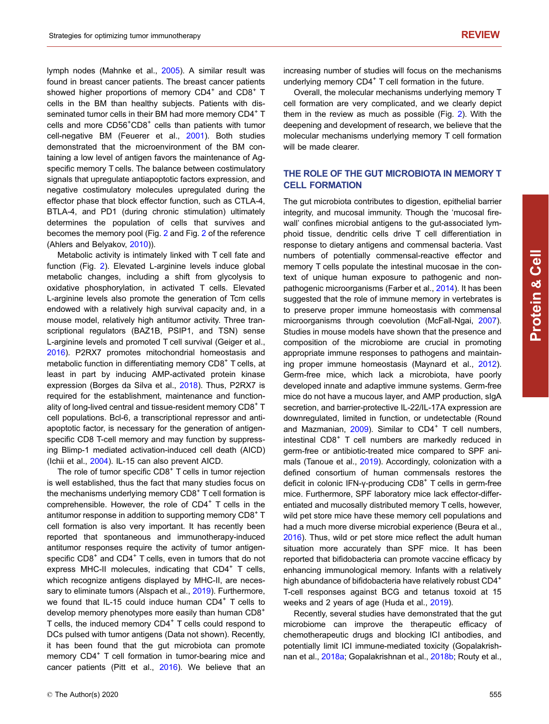lymph nodes (Mahnke et al., [2005](#page-13-0)). A similar result was found in breast cancer patients. The breast cancer patients showed higher proportions of memory  $CD4^+$  and  $CD8^+$  T cells in the BM than healthy subjects. Patients with disseminated tumor cells in their BM had more memory CD4+ T cells and more CD56<sup>+</sup>CD8<sup>+</sup> cells than patients with tumor cell-negative BM (Feuerer et al., [2001\)](#page-11-0). Both studies demonstrated that the microenvironment of the BM containing a low level of antigen favors the maintenance of Agspecific memory T cells. The balance between costimulatory signals that upregulate antiapoptotic factors expression, and negative costimulatory molecules upregulated during the effector phase that block effector function, such as CTLA-4, BTLA-4, and PD1 (during chronic stimulation) ultimately determines the population of cells that survives and becomes the memory pool (Fig. [2](#page-4-0) and Fig. [2](#page-4-0) of the reference (Ahlers and Belyakov, [2010\)](#page-10-0)).

Metabolic activity is intimately linked with T cell fate and function (Fig. [2\)](#page-4-0). Elevated L-arginine levels induce global metabolic changes, including a shift from glycolysis to oxidative phosphorylation, in activated T cells. Elevated L-arginine levels also promote the generation of Tcm cells endowed with a relatively high survival capacity and, in a mouse model, relatively high antitumor activity. Three transcriptional regulators (BAZ1B, PSIP1, and TSN) sense L-arginine levels and promoted T cell survival (Geiger et al., [2016\)](#page-11-0). P2RX7 promotes mitochondrial homeostasis and metabolic function in differentiating memory CD8<sup>+</sup> T cells, at least in part by inducing AMP-activated protein kinase expression (Borges da Silva et al., [2018\)](#page-11-0). Thus, P2RX7 is required for the establishment, maintenance and functionality of long-lived central and tissue-resident memory CD8<sup>+</sup> T cell populations. Bcl-6, a transcriptional repressor and antiapoptotic factor, is necessary for the generation of antigenspecific CD8 T-cell memory and may function by suppressing Blimp-1 mediated activation-induced cell death (AICD) (Ichii et al., [2004\)](#page-12-0). IL-15 can also prevent AICD.

The role of tumor specific  $CDB<sup>+</sup>$  T cells in tumor rejection is well established, thus the fact that many studies focus on the mechanisms underlying memory  $CDB<sup>+</sup>$  T cell formation is comprehensible. However, the role of  $CD4<sup>+</sup>$  T cells in the antitumor response in addition to supporting memory CD8<sup>+</sup> T cell formation is also very important. It has recently been reported that spontaneous and immunotherapy-induced antitumor responses require the activity of tumor antigenspecific CD8<sup>+</sup> and CD4<sup>+</sup> T cells, even in tumors that do not express MHC-II molecules, indicating that  $CD4<sup>+</sup>$  T cells, which recognize antigens displayed by MHC-II, are neces-sary to eliminate tumors (Alspach et al., [2019\)](#page-10-0). Furthermore, we found that IL-15 could induce human  $CD4<sup>+</sup>$  T cells to develop memory phenotypes more easily than human CD8<sup>+</sup> T cells, the induced memory CD4<sup>+</sup> T cells could respond to DCs pulsed with tumor antigens (Data not shown). Recently, it has been found that the gut microbiota can promote memory CD4<sup>+</sup> T cell formation in tumor-bearing mice and cancer patients (Pitt et al., [2016\)](#page-13-0). We believe that an

increasing number of studies will focus on the mechanisms underlying memory  $CD4<sup>+</sup>$  T cell formation in the future.

Overall, the molecular mechanisms underlying memory T cell formation are very complicated, and we clearly depict them in the review as much as possible (Fig. [2](#page-4-0)). With the deepening and development of research, we believe that the molecular mechanisms underlying memory T cell formation will be made clearer.

# THE ROLE OF THE GUT MICROBIOTA IN MEMORY T CELL FORMATION

The gut microbiota contributes to digestion, epithelial barrier integrity, and mucosal immunity. Though the 'mucosal firewall' confines microbial antigens to the gut-associated lymphoid tissue, dendritic cells drive T cell differentiation in response to dietary antigens and commensal bacteria. Vast numbers of potentially commensal-reactive effector and memory T cells populate the intestinal mucosae in the context of unique human exposure to pathogenic and nonpathogenic microorganisms (Farber et al., [2014](#page-11-0)). It has been suggested that the role of immune memory in vertebrates is to preserve proper immune homeostasis with commensal microorganisms through coevolution (McFall-Ngai, [2007\)](#page-13-0). Studies in mouse models have shown that the presence and composition of the microbiome are crucial in promoting appropriate immune responses to pathogens and maintaining proper immune homeostasis (Maynard et al., [2012\)](#page-13-0). Germ-free mice, which lack a microbiota, have poorly developed innate and adaptive immune systems. Germ-free mice do not have a mucous layer, and AMP production, sIgA secretion, and barrier-protective IL-22/IL-17A expression are downregulated, limited in function, or undetectable (Round and Mazmanian,  $2009$ ). Similar to  $CD4<sup>+</sup>$  T cell numbers, intestinal CD8<sup>+</sup> T cell numbers are markedly reduced in germ-free or antibiotic-treated mice compared to SPF animals (Tanoue et al., [2019](#page-14-0)). Accordingly, colonization with a defined consortium of human commensals restores the deficit in colonic IFN-γ-producing CD8<sup>+</sup> T cells in germ-free mice. Furthermore, SPF laboratory mice lack effector-differentiated and mucosally distributed memory T cells, however, wild pet store mice have these memory cell populations and had a much more diverse microbial experience (Beura et al., [2016](#page-11-0)). Thus, wild or pet store mice reflect the adult human situation more accurately than SPF mice. It has been reported that bifidobacteria can promote vaccine efficacy by enhancing immunological memory. Infants with a relatively high abundance of bifidobacteria have relatively robust CD4<sup>+</sup> T-cell responses against BCG and tetanus toxoid at 15 weeks and 2 years of age (Huda et al., [2019\)](#page-12-0).

Recently, several studies have demonstrated that the gut microbiome can improve the therapeutic efficacy of chemotherapeutic drugs and blocking ICI antibodies, and potentially limit ICI immune-mediated toxicity (Gopalakrishnan et al., [2018a;](#page-11-0) Gopalakrishnan et al., [2018b](#page-11-0); Routy et al.,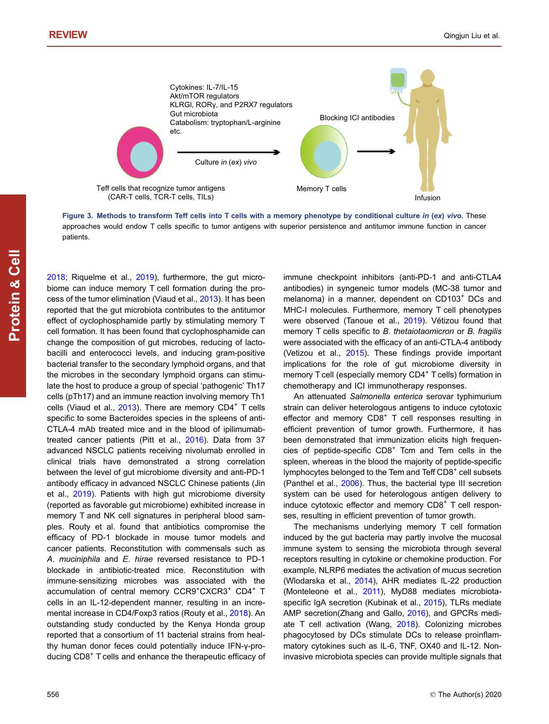<span id="page-7-0"></span>

Figure 3. Methods to transform Teff cells into T cells with a memory phenotype by conditional culture in (ex) vivo. These approaches would endow T cells specific to tumor antigens with superior persistence and antitumor immune function in cancer patients.

[2018;](#page-14-0) Riquelme et al., [2019](#page-13-0)), furthermore, the gut microbiome can induce memory T cell formation during the process of the tumor elimination (Viaud et al., [2013\)](#page-14-0). It has been reported that the gut microbiota contributes to the antitumor effect of cyclophosphamide partly by stimulating memory T cell formation. It has been found that cyclophosphamide can change the composition of gut microbes, reducing of lactobacilli and enterococci levels, and inducing gram-positive bacterial transfer to the secondary lymphoid organs, and that the microbes in the secondary lymphoid organs can stimulate the host to produce a group of special 'pathogenic' Th17 cells (pTh17) and an immune reaction involving memory Th1 cells (Viaud et al.,  $2013$ ). There are memory CD4<sup>+</sup> T cells specific to some Bacteroides species in the spleens of anti-CTLA-4 mAb treated mice and in the blood of ipilimumabtreated cancer patients (Pitt et al., [2016](#page-13-0)). Data from 37 advanced NSCLC patients receiving nivolumab enrolled in clinical trials have demonstrated a strong correlation between the level of gut microbiome diversity and anti-PD-1 antibody efficacy in advanced NSCLC Chinese patients (Jin et al., [2019](#page-12-0)). Patients with high gut microbiome diversity (reported as favorable gut microbiome) exhibited increase in memory T and NK cell signatures in peripheral blood samples. Routy et al. found that antibiotics compromise the efficacy of PD-1 blockade in mouse tumor models and cancer patients. Reconstitution with commensals such as A. muciniphila and E. hirae reversed resistance to PD-1 blockade in antibiotic-treated mice. Reconstitution with immune-sensitizing microbes was associated with the accumulation of central memory CCR9<sup>+</sup>CXCR3<sup>+</sup> CD4<sup>+</sup> T cells in an IL-12-dependent manner, resulting in an incremental increase in CD4/Foxp3 ratios (Routy et al., [2018](#page-14-0)). An outstanding study conducted by the Kenya Honda group reported that a consortium of 11 bacterial strains from healthy human donor feces could potentially induce IFN-γ-producing CD8<sup>+</sup> T cells and enhance the therapeutic efficacy of immune checkpoint inhibitors (anti-PD-1 and anti-CTLA4 antibodies) in syngeneic tumor models (MC-38 tumor and melanoma) in a manner, dependent on CD103<sup>+</sup> DCs and MHC-I molecules. Furthermore, memory T cell phenotypes were observed (Tanoue et al., [2019](#page-14-0)). Vétizou found that memory T cells specific to B. thetaiotaomicron or B. fragilis were associated with the efficacy of an anti-CTLA-4 antibody (Vetizou et al., [2015](#page-14-0)). These findings provide important implications for the role of gut microbiome diversity in memory  $T$  cell (especially memory  $CD4<sup>+</sup>$  T cells) formation in chemotherapy and ICI immunotherapy responses.

An attenuated Salmonella enterica serovar typhimurium strain can deliver heterologous antigens to induce cytotoxic effector and memory CD8<sup>+</sup> T cell responses resulting in efficient prevention of tumor growth. Furthermore, it has been demonstrated that immunization elicits high frequencies of peptide-specific  $CD8<sup>+</sup>$  Tcm and Tem cells in the spleen, whereas in the blood the majority of peptide-specific lymphocytes belonged to the Tem and Teff CD8<sup>+</sup> cell subsets (Panthel et al., [2006\)](#page-13-0). Thus, the bacterial type III secretion system can be used for heterologous antigen delivery to induce cytotoxic effector and memory  $CDB<sup>+</sup>$  T cell responses, resulting in efficient prevention of tumor growth.

The mechanisms underlying memory T cell formation induced by the gut bacteria may partly involve the mucosal immune system to sensing the microbiota through several receptors resulting in cytokine or chemokine production. For example, NLRP6 mediates the activation of mucus secretion (Wlodarska et al., [2014\)](#page-14-0), AHR mediates IL-22 production (Monteleone et al., [2011](#page-13-0)), MyD88 mediates microbiotaspecific IgA secretion (Kubinak et al., [2015\)](#page-13-0), TLRs mediate AMP secretion(Zhang and Gallo, [2016\)](#page-15-0), and GPCRs mediate T cell activation (Wang, [2018](#page-14-0)). Colonizing microbes phagocytosed by DCs stimulate DCs to release proinflammatory cytokines such as IL-6, TNF, OX40 and IL-12. Noninvasive microbiota species can provide multiple signals that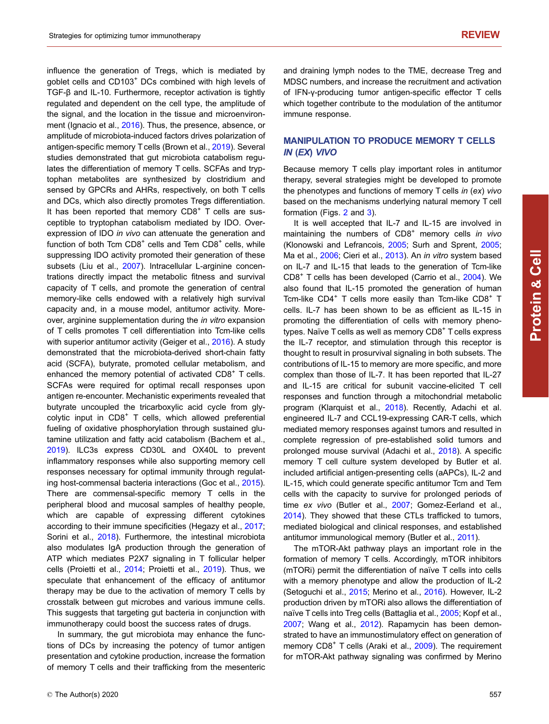influence the generation of Tregs, which is mediated by goblet cells and CD103<sup>+</sup> DCs combined with high levels of TGF-β and IL-10. Furthermore, receptor activation is tightly regulated and dependent on the cell type, the amplitude of the signal, and the location in the tissue and microenvironment (Ignacio et al., [2016\)](#page-12-0). Thus, the presence, absence, or amplitude of microbiota-induced factors drives polarization of antigen-specific memory T cells (Brown et al., [2019\)](#page-11-0). Several studies demonstrated that gut microbiota catabolism regulates the differentiation of memory T cells. SCFAs and tryptophan metabolites are synthesized by clostridium and sensed by GPCRs and AHRs, respectively, on both T cells and DCs, which also directly promotes Tregs differentiation. It has been reported that memory  $CDB^+$  T cells are susceptible to tryptophan catabolism mediated by IDO. Overexpression of IDO in vivo can attenuate the generation and function of both Tcm  $CDB<sup>+</sup>$  cells and Tem  $CDB<sup>+</sup>$  cells, while suppressing IDO activity promoted their generation of these subsets (Liu et al., [2007\)](#page-13-0). Intracellular L-arginine concentrations directly impact the metabolic fitness and survival capacity of T cells, and promote the generation of central memory-like cells endowed with a relatively high survival capacity and, in a mouse model, antitumor activity. Moreover, arginine supplementation during the in vitro expansion of T cells promotes T cell differentiation into Tcm-like cells with superior antitumor activity (Geiger et al., [2016\)](#page-11-0). A study demonstrated that the microbiota-derived short-chain fatty acid (SCFA), butyrate, promoted cellular metabolism, and enhanced the memory potential of activated CD8<sup>+</sup> T cells. SCFAs were required for optimal recall responses upon antigen re-encounter. Mechanistic experiments revealed that butyrate uncoupled the tricarboxylic acid cycle from glycolytic input in  $CD8<sup>+</sup>$  T cells, which allowed preferential fueling of oxidative phosphorylation through sustained glutamine utilization and fatty acid catabolism (Bachem et al., [2019\)](#page-10-0). ILC3s express CD30L and OX40L to prevent inflammatory responses while also supporting memory cell responses necessary for optimal immunity through regulating host-commensal bacteria interactions (Goc et al., [2015](#page-11-0)). There are commensal-specific memory T cells in the peripheral blood and mucosal samples of healthy people, which are capable of expressing different cytokines according to their immune specificities (Hegazy et al., [2017](#page-12-0); Sorini et al., [2018\)](#page-14-0). Furthermore, the intestinal microbiota also modulates IgA production through the generation of ATP which mediates P2X7 signaling in T follicular helper cells (Proietti et al., [2014;](#page-13-0) Proietti et al., [2019](#page-13-0)). Thus, we speculate that enhancement of the efficacy of antitumor therapy may be due to the activation of memory T cells by crosstalk between gut microbes and various immune cells. This suggests that targeting gut bacteria in conjunction with immunotherapy could boost the success rates of drugs.

In summary, the gut microbiota may enhance the functions of DCs by increasing the potency of tumor antigen presentation and cytokine production, increase the formation of memory T cells and their trafficking from the mesenteric

and draining lymph nodes to the TME, decrease Treg and MDSC numbers, and increase the recruitment and activation of IFN-γ-producing tumor antigen-specific effector T cells which together contribute to the modulation of the antitumor immune response.

# MANIPULATION TO PRODUCE MEMORY T CELLS IN (EX) VIVO

Because memory T cells play important roles in antitumor therapy, several strategies might be developed to promote the phenotypes and functions of memory T cells in (ex) vivo based on the mechanisms underlying natural memory T cell formation (Figs. [2](#page-4-0) and [3](#page-7-0)).

It is well accepted that IL-7 and IL-15 are involved in maintaining the numbers of  $CDB<sup>+</sup>$  memory cells in vivo (Klonowski and Lefrancois, [2005](#page-12-0); Surh and Sprent, [2005;](#page-14-0) Ma et al., [2006](#page-13-0); Cieri et al., [2013\)](#page-11-0). An in vitro system based on IL-7 and IL-15 that leads to the generation of Tcm-like CD8<sup>+</sup> T cells has been developed (Carrio et al., [2004](#page-11-0)). We also found that IL-15 promoted the generation of human Tcm-like  $CD4^+$  T cells more easily than Tcm-like  $CD8^+$  T cells. IL-7 has been shown to be as efficient as IL-15 in promoting the differentiation of cells with memory phenotypes. Naïve  $T$  cells as well as memory  $CDB<sup>+</sup> T$  cells express the IL-7 receptor, and stimulation through this receptor is thought to result in prosurvival signaling in both subsets. The contributions of IL-15 to memory are more specific, and more complex than those of IL-7. It has been reported that IL-27 and IL-15 are critical for subunit vaccine-elicited T cell responses and function through a mitochondrial metabolic program (Klarquist et al., [2018\)](#page-12-0). Recently, Adachi et al. engineered IL-7 and CCL19-expressing CAR-T cells, which mediated memory responses against tumors and resulted in complete regression of pre-established solid tumors and prolonged mouse survival (Adachi et al., [2018\)](#page-10-0). A specific memory T cell culture system developed by Butler et al. included artificial antigen-presenting cells (aAPCs), IL-2 and IL-15, which could generate specific antitumor Tcm and Tem cells with the capacity to survive for prolonged periods of time ex vivo (Butler et al., [2007](#page-11-0); Gomez-Eerland et al., [2014](#page-11-0)). They showed that these CTLs trafficked to tumors, mediated biological and clinical responses, and established antitumor immunological memory (Butler et al., [2011\)](#page-11-0).

The mTOR-Akt pathway plays an important role in the formation of memory T cells. Accordingly, mTOR inhibitors (mTORi) permit the differentiation of naïve T cells into cells with a memory phenotype and allow the production of IL-2 (Setoguchi et al., [2015;](#page-14-0) Merino et al., [2016](#page-13-0)). However, IL-2 production driven by mTORi also allows the differentiation of naïve T cells into Treg cells (Battaglia et al., [2005;](#page-10-0) Kopf et al., [2007](#page-12-0); Wang et al., [2012\)](#page-14-0). Rapamycin has been demonstrated to have an immunostimulatory effect on generation of memory CD8<sup>+</sup> T cells (Araki et al., [2009\)](#page-10-0). The requirement for mTOR-Akt pathway signaling was confirmed by Merino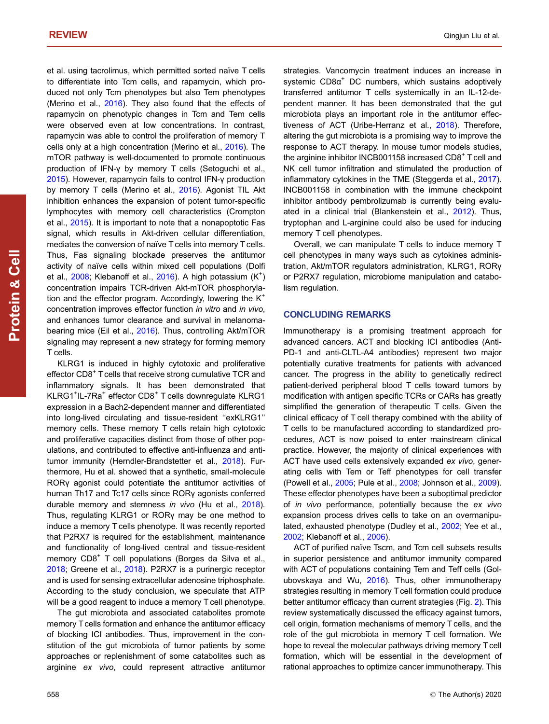et al. using tacrolimus, which permitted sorted naïve T cells to differentiate into Tcm cells, and rapamycin, which produced not only Tcm phenotypes but also Tem phenotypes (Merino et al., [2016](#page-13-0)). They also found that the effects of rapamycin on phenotypic changes in Tcm and Tem cells were observed even at low concentrations. In contrast, rapamycin was able to control the proliferation of memory T cells only at a high concentration (Merino et al., [2016](#page-13-0)). The mTOR pathway is well-documented to promote continuous production of IFN-γ by memory T cells (Setoguchi et al., [2015\)](#page-14-0). However, rapamycin fails to control IFN-γ production by memory T cells (Merino et al., [2016](#page-13-0)). Agonist TIL Akt inhibition enhances the expansion of potent tumor-specific lymphocytes with memory cell characteristics (Crompton et al., [2015](#page-11-0)). It is important to note that a nonapoptotic Fas signal, which results in Akt-driven cellular differentiation, mediates the conversion of naïve T cells into memory T cells. Thus, Fas signaling blockade preserves the antitumor activity of naïve cells within mixed cell populations (Dolfi et al., [2008;](#page-11-0) Klebanoff et al., [2016\)](#page-12-0). A high potassium (K<sup>+</sup>) concentration impairs TCR-driven Akt-mTOR phosphorylation and the effector program. Accordingly, lowering the  $K^+$ concentration improves effector function in vitro and in vivo, and enhances tumor clearance and survival in melanomabearing mice (Eil et al., [2016](#page-11-0)). Thus, controlling Akt/mTOR signaling may represent a new strategy for forming memory T cells.

KLRG1 is induced in highly cytotoxic and proliferative effector CD8<sup>+</sup> T cells that receive strong cumulative TCR and inflammatory signals. It has been demonstrated that KLRG1<sup>+</sup>IL-7Ra<sup>+</sup> effector CD8<sup>+</sup> T cells downregulate KLRG1 expression in a Bach2-dependent manner and differentiated into long-lived circulating and tissue-resident ''exKLRG1'' memory cells. These memory T cells retain high cytotoxic and proliferative capacities distinct from those of other populations, and contributed to effective anti-influenza and antitumor immunity (Herndler-Brandstetter et al., [2018](#page-12-0)). Furthermore, Hu et al. showed that a synthetic, small-molecule RORγ agonist could potentiate the antitumor activities of human Th17 and Tc17 cells since RORγ agonists conferred durable memory and stemness in vivo (Hu et al., [2018](#page-12-0)). Thus, regulating KLRG1 or RORγ may be one method to induce a memory T cells phenotype. It was recently reported that P2RX7 is required for the establishment, maintenance and functionality of long-lived central and tissue-resident memory CD8<sup>+</sup> T cell populations (Borges da Silva et al., [2018;](#page-11-0) Greene et al., [2018\)](#page-11-0). P2RX7 is a purinergic receptor and is used for sensing extracellular adenosine triphosphate. According to the study conclusion, we speculate that ATP will be a good reagent to induce a memory T cell phenotype.

The gut microbiota and associated catabolites promote memory T cells formation and enhance the antitumor efficacy of blocking ICI antibodies. Thus, improvement in the constitution of the gut microbiota of tumor patients by some approaches or replenishment of some catabolites such as arginine ex vivo, could represent attractive antitumor strategies. Vancomycin treatment induces an increase in systemic  $CD8\alpha^+$  DC numbers, which sustains adoptively transferred antitumor T cells systemically in an IL-12-dependent manner. It has been demonstrated that the gut microbiota plays an important role in the antitumor effectiveness of ACT (Uribe-Herranz et al., [2018](#page-14-0)). Therefore, altering the gut microbiota is a promising way to improve the response to ACT therapy. In mouse tumor models studies, the arginine inhibitor INCB001158 increased CD8<sup>+</sup> T cell and NK cell tumor infiltration and stimulated the production of inflammatory cytokines in the TME (Steggerda et al., [2017\)](#page-14-0). INCB001158 in combination with the immune checkpoint inhibitor antibody pembrolizumab is currently being evaluated in a clinical trial (Blankenstein et al., [2012\)](#page-11-0). Thus, tryptophan and L-arginine could also be used for inducing memory T cell phenotypes.

Overall, we can manipulate T cells to induce memory T cell phenotypes in many ways such as cytokines administration, Akt/mTOR regulators administration, KLRG1, RORγ or P2RX7 regulation, microbiome manipulation and catabolism regulation.

# CONCLUDING REMARKS

Immunotherapy is a promising treatment approach for advanced cancers. ACT and blocking ICI antibodies (Anti-PD-1 and anti-CLTL-A4 antibodies) represent two major potentially curative treatments for patients with advanced cancer. The progress in the ability to genetically redirect patient-derived peripheral blood T cells toward tumors by modification with antigen specific TCRs or CARs has greatly simplified the generation of therapeutic T cells. Given the clinical efficacy of T cell therapy combined with the ability of T cells to be manufactured according to standardized procedures, ACT is now poised to enter mainstream clinical practice. However, the majority of clinical experiences with ACT have used cells extensively expanded ex vivo, generating cells with Tem or Teff phenotypes for cell transfer (Powell et al., [2005;](#page-13-0) Pule et al., [2008](#page-13-0); Johnson et al., [2009\)](#page-12-0). These effector phenotypes have been a suboptimal predictor of in vivo performance, potentially because the ex vivo expansion process drives cells to take on an overmanipulated, exhausted phenotype (Dudley et al., [2002;](#page-11-0) Yee et al., [2002](#page-15-0); Klebanoff et al., [2006](#page-12-0)).

ACT of purified naïve Tscm, and Tcm cell subsets results in superior persistence and antitumor immunity compared with ACT of populations containing Tem and Teff cells (Golubovskaya and Wu, [2016\)](#page-11-0). Thus, other immunotherapy strategies resulting in memory T cell formation could produce better antitumor efficacy than current strategies (Fig. [2\)](#page-4-0). This review systematically discussed the efficacy against tumors, cell origin, formation mechanisms of memory T cells, and the role of the gut microbiota in memory T cell formation. We hope to reveal the molecular pathways driving memory T cell formation, which will be essential in the development of rational approaches to optimize cancer immunotherapy. This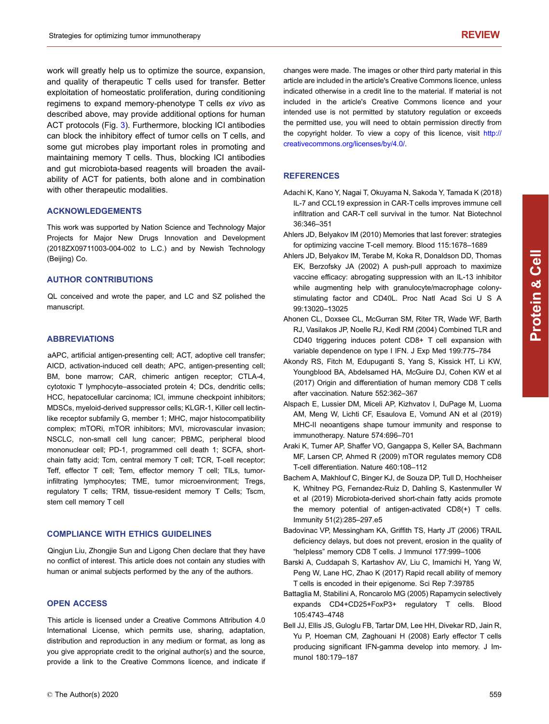<span id="page-10-0"></span>work will greatly help us to optimize the source, expansion, and quality of therapeutic T cells used for transfer. Better exploitation of homeostatic proliferation, during conditioning regimens to expand memory-phenotype T cells ex vivo as described above, may provide additional options for human ACT protocols (Fig. [3\)](#page-7-0). Furthermore, blocking ICI antibodies can block the inhibitory effect of tumor cells on T cells, and some gut microbes play important roles in promoting and maintaining memory T cells. Thus, blocking ICI antibodies and gut microbiota-based reagents will broaden the availability of ACT for patients, both alone and in combination with other therapeutic modalities.

#### ACKNOWLEDGEMENTS

This work was supported by Nation Science and Technology Major Projects for Major New Drugs Innovation and Development (2018ZX09711003-004-002 to L.C.) and by Newish Technology (Beijing) Co.

#### AUTHOR CONTRIBUTIONS

QL conceived and wrote the paper, and LC and SZ polished the manuscript.

#### ABBREVIATIONS

aAPC, artificial antigen-presenting cell; ACT, adoptive cell transfer; AICD, activation-induced cell death; APC, antigen-presenting cell; BM, bone marrow; CAR, chimeric antigen receptor; CTLA-4, cytotoxic T lymphocyte–associated protein 4; DCs, dendritic cells; HCC, hepatocellular carcinoma; ICI, immune checkpoint inhibitors; MDSCs, myeloid-derived suppressor cells; KLGR-1, Killer cell lectinlike receptor subfamily G, member 1; MHC, major histocompatibility complex; mTORi, mTOR inhibitors; MVI, microvascular invasion; NSCLC, non-small cell lung cancer; PBMC, peripheral blood mononuclear cell; PD-1, programmed cell death 1; SCFA, shortchain fatty acid; Tcm, central memory T cell; TCR, T-cell receptor; Teff, effector T cell; Tem, effector memory T cell; TILs, tumorinfiltrating lymphocytes; TME, tumor microenvironment; Tregs, regulatory T cells; TRM, tissue-resident memory T Cells; Tscm, stem cell memory T cell

#### COMPLIANCE WITH ETHICS GUIDELINES

Qingjun Liu, Zhongjie Sun and Ligong Chen declare that they have no conflict of interest. This article does not contain any studies with human or animal subjects performed by the any of the authors.

#### OPEN ACCESS

This article is licensed under a Creative Commons Attribution 4.0 International License, which permits use, sharing, adaptation, distribution and reproduction in any medium or format, as long as you give appropriate credit to the original author(s) and the source, provide a link to the Creative Commons licence, and indicate if

changes were made. The images or other third party material in this article are included in the article's Creative Commons licence, unless indicated otherwise in a credit line to the material. If material is not included in the article's Creative Commons licence and your intended use is not permitted by statutory regulation or exceeds the permitted use, you will need to obtain permission directly from the copyright holder. To view a copy of this licence, visit [http://](http://creativecommons.org/licenses/by/4.0/) [creativecommons.org/licenses/by/4.0/](http://creativecommons.org/licenses/by/4.0/).

### **REFERENCES**

- Adachi K, Kano Y, Nagai T, Okuyama N, Sakoda Y, Tamada K (2018) IL-7 and CCL19 expression in CAR-T cells improves immune cell infiltration and CAR-T cell survival in the tumor. Nat Biotechnol 36:346–351
- Ahlers JD, Belyakov IM (2010) Memories that last forever: strategies for optimizing vaccine T-cell memory. Blood 115:1678–1689
- Ahlers JD, Belyakov IM, Terabe M, Koka R, Donaldson DD, Thomas EK, Berzofsky JA (2002) A push-pull approach to maximize vaccine efficacy: abrogating suppression with an IL-13 inhibitor while augmenting help with granulocyte/macrophage colonystimulating factor and CD40L. Proc Natl Acad Sci U S A 99:13020–13025
- Ahonen CL, Doxsee CL, McGurran SM, Riter TR, Wade WF, Barth RJ, Vasilakos JP, Noelle RJ, Kedl RM (2004) Combined TLR and CD40 triggering induces potent CD8+ T cell expansion with variable dependence on type I IFN. J Exp Med 199:775–784
- Akondy RS, Fitch M, Edupuganti S, Yang S, Kissick HT, Li KW, Youngblood BA, Abdelsamed HA, McGuire DJ, Cohen KW et al (2017) Origin and differentiation of human memory CD8 T cells after vaccination. Nature 552:362–367
- Alspach E, Lussier DM, Miceli AP, Kizhvatov I, DuPage M, Luoma AM, Meng W, Lichti CF, Esaulova E, Vomund AN et al (2019) MHC-II neoantigens shape tumour immunity and response to immunotherapy. Nature 574:696–701
- Araki K, Turner AP, Shaffer VO, Gangappa S, Keller SA, Bachmann MF, Larsen CP, Ahmed R (2009) mTOR regulates memory CD8 T-cell differentiation. Nature 460:108–112
- Bachem A, Makhlouf C, Binger KJ, de Souza DP, Tull D, Hochheiser K, Whitney PG, Fernandez-Ruiz D, Dahling S, Kastenmuller W et al (2019) Microbiota-derived short-chain fatty acids promote the memory potential of antigen-activated CD8(+) T cells. Immunity 51(2):285–297.e5
- Badovinac VP, Messingham KA, Griffith TS, Harty JT (2006) TRAIL deficiency delays, but does not prevent, erosion in the quality of "helpless" memory CD8 T cells. J Immunol 177:999–1006
- Barski A, Cuddapah S, Kartashov AV, Liu C, Imamichi H, Yang W, Peng W, Lane HC, Zhao K (2017) Rapid recall ability of memory T cells is encoded in their epigenome. Sci Rep 7:39785
- Battaglia M, Stabilini A, Roncarolo MG (2005) Rapamycin selectively expands CD4+CD25+FoxP3+ regulatory T cells. Blood 105:4743–4748
- Bell JJ, Ellis JS, Guloglu FB, Tartar DM, Lee HH, Divekar RD, Jain R, Yu P, Hoeman CM, Zaghouani H (2008) Early effector T cells producing significant IFN-gamma develop into memory. J Immunol 180:179–187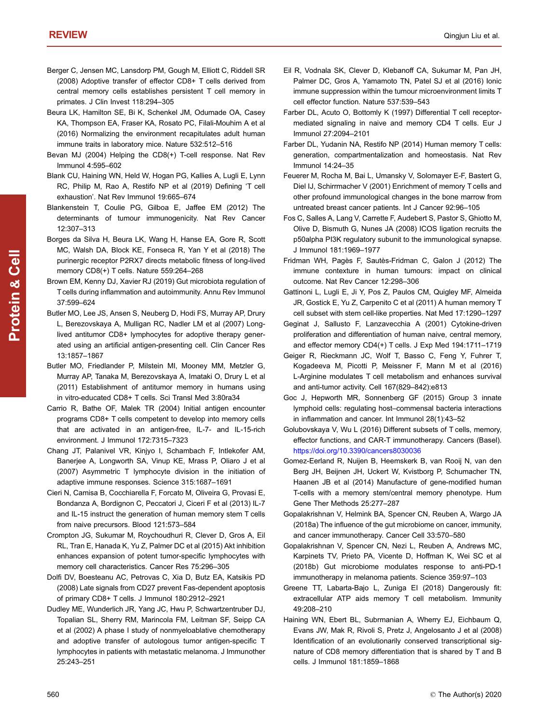- <span id="page-11-0"></span>Berger C, Jensen MC, Lansdorp PM, Gough M, Elliott C, Riddell SR (2008) Adoptive transfer of effector CD8+ T cells derived from central memory cells establishes persistent T cell memory in primates. J Clin Invest 118:294–305
- Beura LK, Hamilton SE, Bi K, Schenkel JM, Odumade OA, Casey KA, Thompson EA, Fraser KA, Rosato PC, Filali-Mouhim A et al (2016) Normalizing the environment recapitulates adult human immune traits in laboratory mice. Nature 532:512–516
- Bevan MJ (2004) Helping the CD8(+) T-cell response. Nat Rev Immunol 4:595–602
- Blank CU, Haining WN, Held W, Hogan PG, Kallies A, Lugli E, Lynn RC, Philip M, Rao A, Restifo NP et al (2019) Defining 'T cell exhaustion'. Nat Rev Immunol 19:665–674
- Blankenstein T, Coulie PG, Gilboa E, Jaffee EM (2012) The determinants of tumour immunogenicity. Nat Rev Cancer 12:307–313
- Borges da Silva H, Beura LK, Wang H, Hanse EA, Gore R, Scott MC, Walsh DA, Block KE, Fonseca R, Yan Y et al (2018) The purinergic receptor P2RX7 directs metabolic fitness of long-lived memory CD8(+) T cells. Nature 559:264–268
- Brown EM, Kenny DJ, Xavier RJ (2019) Gut microbiota regulation of T cells during inflammation and autoimmunity. Annu Rev Immunol 37:599–624
- Butler MO, Lee JS, Ansen S, Neuberg D, Hodi FS, Murray AP, Drury L, Berezovskaya A, Mulligan RC, Nadler LM et al (2007) Longlived antitumor CD8+ lymphocytes for adoptive therapy generated using an artificial antigen-presenting cell. Clin Cancer Res 13:1857–1867
- Butler MO, Friedlander P, Milstein MI, Mooney MM, Metzler G, Murray AP, Tanaka M, Berezovskaya A, Imataki O, Drury L et al (2011) Establishment of antitumor memory in humans using in vitro-educated CD8+ T cells. Sci Transl Med 3:80ra34
- Carrio R, Bathe OF, Malek TR (2004) Initial antigen encounter programs CD8+ T cells competent to develop into memory cells that are activated in an antigen-free, IL-7- and IL-15-rich environment. J Immunol 172:7315–7323
- Chang JT, Palanivel VR, Kinjyo I, Schambach F, Intlekofer AM, Banerjee A, Longworth SA, Vinup KE, Mrass P, Oliaro J et al (2007) Asymmetric T lymphocyte division in the initiation of adaptive immune responses. Science 315:1687–1691
- Cieri N, Camisa B, Cocchiarella F, Forcato M, Oliveira G, Provasi E, Bondanza A, Bordignon C, Peccatori J, Ciceri F et al (2013) IL-7 and IL-15 instruct the generation of human memory stem T cells from naive precursors. Blood 121:573–584
- Crompton JG, Sukumar M, Roychoudhuri R, Clever D, Gros A, Eil RL, Tran E, Hanada K, Yu Z, Palmer DC et al (2015) Akt inhibition enhances expansion of potent tumor-specific lymphocytes with memory cell characteristics. Cancer Res 75:296–305
- Dolfi DV, Boesteanu AC, Petrovas C, Xia D, Butz EA, Katsikis PD (2008) Late signals from CD27 prevent Fas-dependent apoptosis of primary CD8+ T cells. J Immunol 180:2912–2921
- Dudley ME, Wunderlich JR, Yang JC, Hwu P, Schwartzentruber DJ, Topalian SL, Sherry RM, Marincola FM, Leitman SF, Seipp CA et al (2002) A phase I study of nonmyeloablative chemotherapy and adoptive transfer of autologous tumor antigen-specific T lymphocytes in patients with metastatic melanoma. J Immunother 25:243–251
- Eil R, Vodnala SK, Clever D, Klebanoff CA, Sukumar M, Pan JH, Palmer DC, Gros A, Yamamoto TN, Patel SJ et al (2016) Ionic immune suppression within the tumour microenvironment limits T cell effector function. Nature 537:539–543
- Farber DL, Acuto O, Bottomly K (1997) Differential T cell receptormediated signaling in naive and memory CD4 T cells. Eur J Immunol 27:2094–2101
- Farber DL, Yudanin NA, Restifo NP (2014) Human memory T cells: generation, compartmentalization and homeostasis. Nat Rev Immunol 14:24–35
- Feuerer M, Rocha M, Bai L, Umansky V, Solomayer E-F, Bastert G, Diel IJ, Schirrmacher V (2001) Enrichment of memory T cells and other profound immunological changes in the bone marrow from untreated breast cancer patients. Int J Cancer 92:96–105
- Fos C, Salles A, Lang V, Carrette F, Audebert S, Pastor S, Ghiotto M, Olive D, Bismuth G, Nunes JA (2008) ICOS ligation recruits the p50alpha PI3K regulatory subunit to the immunological synapse. J Immunol 181:1969–1977
- Fridman WH, Pagès F, Sautès-Fridman C, Galon J (2012) The immune contexture in human tumours: impact on clinical outcome. Nat Rev Cancer 12:298–306
- Gattinoni L, Lugli E, Ji Y, Pos Z, Paulos CM, Quigley MF, Almeida JR, Gostick E, Yu Z, Carpenito C et al (2011) A human memory T cell subset with stem cell-like properties. Nat Med 17:1290–1297
- Geginat J, Sallusto F, Lanzavecchia A (2001) Cytokine-driven proliferation and differentiation of human naive, central memory, and effector memory CD4(+) T cells. J Exp Med 194:1711–1719
- Geiger R, Rieckmann JC, Wolf T, Basso C, Feng Y, Fuhrer T, Kogadeeva M, Picotti P, Meissner F, Mann M et al (2016) L-Arginine modulates T cell metabolism and enhances survival and anti-tumor activity. Cell 167(829–842):e813
- Goc J, Hepworth MR, Sonnenberg GF (2015) Group 3 innate lymphoid cells: regulating host–commensal bacteria interactions in inflammation and cancer. Int Immunol 28(1):43–52
- Golubovskaya V, Wu L (2016) Different subsets of T cells, memory, effector functions, and CAR-T immunotherapy. Cancers (Basel). <https://doi.org/10.3390/cancers8030036>
- Gomez-Eerland R, Nuijen B, Heemskerk B, van Rooij N, van den Berg JH, Beijnen JH, Uckert W, Kvistborg P, Schumacher TN, Haanen JB et al (2014) Manufacture of gene-modified human T-cells with a memory stem/central memory phenotype. Hum Gene Ther Methods 25:277–287
- Gopalakrishnan V, Helmink BA, Spencer CN, Reuben A, Wargo JA (2018a) The influence of the gut microbiome on cancer, immunity, and cancer immunotherapy. Cancer Cell 33:570–580
- Gopalakrishnan V, Spencer CN, Nezi L, Reuben A, Andrews MC, Karpinets TV, Prieto PA, Vicente D, Hoffman K, Wei SC et al (2018b) Gut microbiome modulates response to anti-PD-1 immunotherapy in melanoma patients. Science 359:97–103
- Greene TT, Labarta-Bajo L, Zuniga EI (2018) Dangerously fit: extracellular ATP aids memory T cell metabolism. Immunity 49:208–210
- Haining WN, Ebert BL, Subrmanian A, Wherry EJ, Eichbaum Q, Evans JW, Mak R, Rivoli S, Pretz J, Angelosanto J et al (2008) Identification of an evolutionarily conserved transcriptional signature of CD8 memory differentiation that is shared by T and B cells. J Immunol 181:1859–1868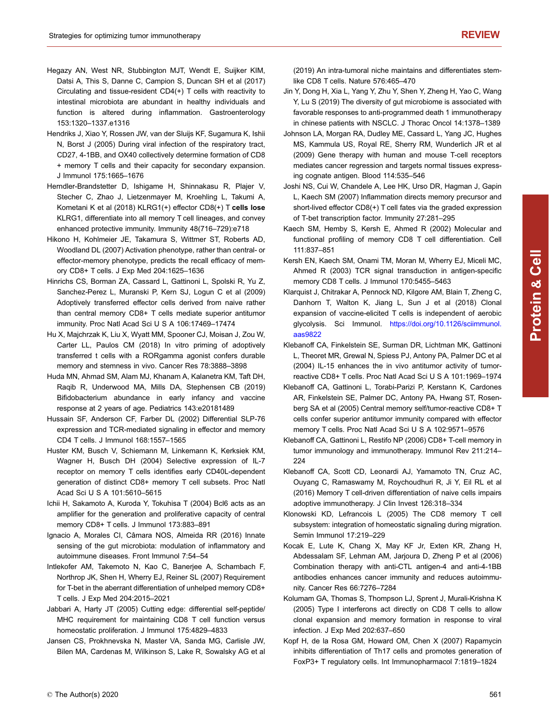- <span id="page-12-0"></span>Hegazy AN, West NR, Stubbington MJT, Wendt E, Suijker KIM, Datsi A, This S, Danne C, Campion S, Duncan SH et al (2017) Circulating and tissue-resident CD4(+) T cells with reactivity to intestinal microbiota are abundant in healthy individuals and function is altered during inflammation. Gastroenterology 153:1320–1337.e1316
- Hendriks J, Xiao Y, Rossen JW, van der Sluijs KF, Sugamura K, Ishii N, Borst J (2005) During viral infection of the respiratory tract, CD27, 4-1BB, and OX40 collectively determine formation of CD8 + memory T cells and their capacity for secondary expansion. J Immunol 175:1665–1676
- Herndler-Brandstetter D, Ishigame H, Shinnakasu R, Plajer V, Stecher C, Zhao J, Lietzenmayer M, Kroehling L, Takumi A, Kometani K et al (2018) KLRG1(+) effector CD8(+) T cells lose KLRG1, differentiate into all memory T cell lineages, and convey enhanced protective immunity. Immunity 48(716–729):e718
- Hikono H, Kohlmeier JE, Takamura S, Wittmer ST, Roberts AD, Woodland DL (2007) Activation phenotype, rather than central- or effector-memory phenotype, predicts the recall efficacy of memory CD8+ T cells. J Exp Med 204:1625–1636
- Hinrichs CS, Borman ZA, Cassard L, Gattinoni L, Spolski R, Yu Z, Sanchez-Perez L, Muranski P, Kern SJ, Logun C et al (2009) Adoptively transferred effector cells derived from naive rather than central memory CD8+ T cells mediate superior antitumor immunity. Proc Natl Acad Sci U S A 106:17469–17474
- Hu X, Majchrzak K, Liu X, Wyatt MM, Spooner CJ, Moisan J, Zou W, Carter LL, Paulos CM (2018) In vitro priming of adoptively transferred t cells with a RORgamma agonist confers durable memory and stemness in vivo. Cancer Res 78:3888–3898
- Huda MN, Ahmad SM, Alam MJ, Khanam A, Kalanetra KM, Taft DH, Raqib R, Underwood MA, Mills DA, Stephensen CB (2019) Bifidobacterium abundance in early infancy and vaccine response at 2 years of age. Pediatrics 143:e20181489
- Hussain SF, Anderson CF, Farber DL (2002) Differential SLP-76 expression and TCR-mediated signaling in effector and memory CD4 T cells. J Immunol 168:1557–1565
- Huster KM, Busch V, Schiemann M, Linkemann K, Kerksiek KM, Wagner H, Busch DH (2004) Selective expression of IL-7 receptor on memory T cells identifies early CD40L-dependent generation of distinct CD8+ memory T cell subsets. Proc Natl Acad Sci U S A 101:5610–5615
- Ichii H, Sakamoto A, Kuroda Y, Tokuhisa T (2004) Bcl6 acts as an amplifier for the generation and proliferative capacity of central memory CD8+ T cells. J Immunol 173:883–891
- Ignacio A, Morales CI, Câmara NOS, Almeida RR (2016) Innate sensing of the gut microbiota: modulation of inflammatory and autoimmune diseases. Front Immunol 7:54–54
- Intlekofer AM, Takemoto N, Kao C, Banerjee A, Schambach F, Northrop JK, Shen H, Wherry EJ, Reiner SL (2007) Requirement for T-bet in the aberrant differentiation of unhelped memory CD8+ T cells. J Exp Med 204:2015–2021
- Jabbari A, Harty JT (2005) Cutting edge: differential self-peptide/ MHC requirement for maintaining CD8 T cell function versus homeostatic proliferation. J Immunol 175:4829–4833
- Jansen CS, Prokhnevska N, Master VA, Sanda MG, Carlisle JW, Bilen MA, Cardenas M, Wilkinson S, Lake R, Sowalsky AG et al

(2019) An intra-tumoral niche maintains and differentiates stemlike CD8 T cells. Nature 576:465–470

- Jin Y, Dong H, Xia L, Yang Y, Zhu Y, Shen Y, Zheng H, Yao C, Wang Y, Lu S (2019) The diversity of gut microbiome is associated with favorable responses to anti-programmed death 1 immunotherapy in chinese patients with NSCLC. J Thorac Oncol 14:1378–1389
- Johnson LA, Morgan RA, Dudley ME, Cassard L, Yang JC, Hughes MS, Kammula US, Royal RE, Sherry RM, Wunderlich JR et al (2009) Gene therapy with human and mouse T-cell receptors mediates cancer regression and targets normal tissues expressing cognate antigen. Blood 114:535–546
- Joshi NS, Cui W, Chandele A, Lee HK, Urso DR, Hagman J, Gapin L, Kaech SM (2007) Inflammation directs memory precursor and short-lived effector CD8(+) T cell fates via the graded expression of T-bet transcription factor. Immunity 27:281–295
- Kaech SM, Hemby S, Kersh E, Ahmed R (2002) Molecular and functional profiling of memory CD8 T cell differentiation. Cell 111:837–851
- Kersh EN, Kaech SM, Onami TM, Moran M, Wherry EJ, Miceli MC, Ahmed R (2003) TCR signal transduction in antigen-specific memory CD8 T cells. J Immunol 170:5455-5463
- Klarquist J, Chitrakar A, Pennock ND, Kilgore AM, Blain T, Zheng C, Danhorn T, Walton K, Jiang L, Sun J et al (2018) Clonal expansion of vaccine-elicited T cells is independent of aerobic glycolysis. Sci Immunol. [https://doi.org/10.1126/sciimmunol.](https://doi.org/10.1126/sciimmunol.aas9822) [aas9822](https://doi.org/10.1126/sciimmunol.aas9822)
- Klebanoff CA, Finkelstein SE, Surman DR, Lichtman MK, Gattinoni L, Theoret MR, Grewal N, Spiess PJ, Antony PA, Palmer DC et al (2004) IL-15 enhances the in vivo antitumor activity of tumorreactive CD8+ T cells. Proc Natl Acad Sci U S A 101:1969–1974
- Klebanoff CA, Gattinoni L, Torabi-Parizi P, Kerstann K, Cardones AR, Finkelstein SE, Palmer DC, Antony PA, Hwang ST, Rosenberg SA et al (2005) Central memory self/tumor-reactive CD8+ T cells confer superior antitumor immunity compared with effector memory T cells. Proc Natl Acad Sci U S A 102:9571–9576
- Klebanoff CA, Gattinoni L, Restifo NP (2006) CD8+ T-cell memory in tumor immunology and immunotherapy. Immunol Rev 211:214– 224
- Klebanoff CA, Scott CD, Leonardi AJ, Yamamoto TN, Cruz AC, Ouyang C, Ramaswamy M, Roychoudhuri R, Ji Y, Eil RL et al (2016) Memory T cell-driven differentiation of naive cells impairs adoptive immunotherapy. J Clin Invest 126:318–334
- Klonowski KD, Lefrancois L (2005) The CD8 memory T cell subsystem: integration of homeostatic signaling during migration. Semin Immunol 17:219–229
- Kocak E, Lute K, Chang X, May KF Jr, Exten KR, Zhang H, Abdessalam SF, Lehman AM, Jarjoura D, Zheng P et al (2006) Combination therapy with anti-CTL antigen-4 and anti-4-1BB antibodies enhances cancer immunity and reduces autoimmunity. Cancer Res 66:7276–7284
- Kolumam GA, Thomas S, Thompson LJ, Sprent J, Murali-Krishna K (2005) Type I interferons act directly on CD8 T cells to allow clonal expansion and memory formation in response to viral infection. J Exp Med 202:637–650
- Kopf H, de la Rosa GM, Howard OM, Chen X (2007) Rapamycin inhibits differentiation of Th17 cells and promotes generation of FoxP3+ T regulatory cells. Int Immunopharmacol 7:1819–1824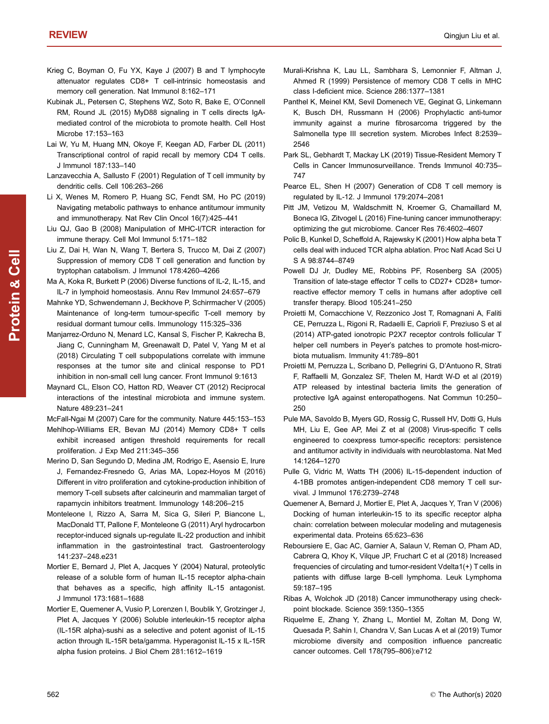- <span id="page-13-0"></span>Krieg C, Boyman O, Fu YX, Kaye J (2007) B and T lymphocyte attenuator regulates CD8+ T cell-intrinsic homeostasis and memory cell generation. Nat Immunol 8:162–171
- Kubinak JL, Petersen C, Stephens WZ, Soto R, Bake E, O'Connell RM, Round JL (2015) MyD88 signaling in T cells directs IgAmediated control of the microbiota to promote health. Cell Host Microbe 17:153–163
- Lai W, Yu M, Huang MN, Okoye F, Keegan AD, Farber DL (2011) Transcriptional control of rapid recall by memory CD4 T cells. J Immunol 187:133–140
- Lanzavecchia A, Sallusto F (2001) Regulation of T cell immunity by dendritic cells. Cell 106:263–266
- Li X, Wenes M, Romero P, Huang SC, Fendt SM, Ho PC (2019) Navigating metabolic pathways to enhance antitumour immunity and immunotherapy. Nat Rev Clin Oncol 16(7):425–441
- Liu QJ, Gao B (2008) Manipulation of MHC-I/TCR interaction for immune therapy. Cell Mol Immunol 5:171–182
- Liu Z, Dai H, Wan N, Wang T, Bertera S, Trucco M, Dai Z (2007) Suppression of memory CD8 T cell generation and function by tryptophan catabolism. J Immunol 178:4260–4266
- Ma A, Koka R, Burkett P (2006) Diverse functions of IL-2, IL-15, and IL-7 in lymphoid homeostasis. Annu Rev Immunol 24:657–679
- Mahnke YD, Schwendemann J, Beckhove P, Schirrmacher V (2005) Maintenance of long-term tumour-specific T-cell memory by residual dormant tumour cells. Immunology 115:325–336
- Manjarrez-Orduno N, Menard LC, Kansal S, Fischer P, Kakrecha B, Jiang C, Cunningham M, Greenawalt D, Patel V, Yang M et al (2018) Circulating T cell subpopulations correlate with immune responses at the tumor site and clinical response to PD1 inhibition in non-small cell lung cancer. Front Immunol 9:1613
- Maynard CL, Elson CO, Hatton RD, Weaver CT (2012) Reciprocal interactions of the intestinal microbiota and immune system. Nature 489:231–241

McFall-Ngai M (2007) Care for the community. Nature 445:153–153

- Mehlhop-Williams ER, Bevan MJ (2014) Memory CD8+ T cells exhibit increased antigen threshold requirements for recall proliferation. J Exp Med 211:345–356
- Merino D, San Segundo D, Medina JM, Rodrigo E, Asensio E, Irure J, Fernandez-Fresnedo G, Arias MA, Lopez-Hoyos M (2016) Different in vitro proliferation and cytokine-production inhibition of memory T-cell subsets after calcineurin and mammalian target of rapamycin inhibitors treatment. Immunology 148:206–215
- Monteleone I, Rizzo A, Sarra M, Sica G, Sileri P, Biancone L, MacDonald TT, Pallone F, Monteleone G (2011) Aryl hydrocarbon receptor-induced signals up-regulate IL-22 production and inhibit inflammation in the gastrointestinal tract. Gastroenterology 141:237–248.e231
- Mortier E, Bernard J, Plet A, Jacques Y (2004) Natural, proteolytic release of a soluble form of human IL-15 receptor alpha-chain that behaves as a specific, high affinity IL-15 antagonist. J Immunol 173:1681–1688
- Mortier E, Quemener A, Vusio P, Lorenzen I, Boublik Y, Grotzinger J, Plet A, Jacques Y (2006) Soluble interleukin-15 receptor alpha (IL-15R alpha)-sushi as a selective and potent agonist of IL-15 action through IL-15R beta/gamma. Hyperagonist IL-15 x IL-15R alpha fusion proteins. J Biol Chem 281:1612–1619
- Murali-Krishna K, Lau LL, Sambhara S, Lemonnier F, Altman J, Ahmed R (1999) Persistence of memory CD8 T cells in MHC class I-deficient mice. Science 286:1377–1381
- Panthel K, Meinel KM, Sevil Domenech VE, Geginat G, Linkemann K, Busch DH, Russmann H (2006) Prophylactic anti-tumor immunity against a murine fibrosarcoma triggered by the Salmonella type III secretion system. Microbes Infect 8:2539– 2546
- Park SL, Gebhardt T, Mackay LK (2019) Tissue-Resident Memory T Cells in Cancer Immunosurveillance. Trends Immunol 40:735– 747
- Pearce EL, Shen H (2007) Generation of CD8 T cell memory is regulated by IL-12. J Immunol 179:2074–2081
- Pitt JM, Vetizou M, Waldschmitt N, Kroemer G, Chamaillard M, Boneca IG, Zitvogel L (2016) Fine-tuning cancer immunotherapy: optimizing the gut microbiome. Cancer Res 76:4602–4607
- Polic B, Kunkel D, Scheffold A, Rajewsky K (2001) How alpha beta T cells deal with induced TCR alpha ablation. Proc Natl Acad Sci U S A 98:8744–8749
- Powell DJ Jr, Dudley ME, Robbins PF, Rosenberg SA (2005) Transition of late-stage effector T cells to CD27+ CD28+ tumorreactive effector memory T cells in humans after adoptive cell transfer therapy. Blood 105:241–250
- Proietti M, Cornacchione V, Rezzonico Jost T, Romagnani A, Faliti CE, Perruzza L, Rigoni R, Radaelli E, Caprioli F, Preziuso S et al (2014) ATP-gated ionotropic P2X7 receptor controls follicular T helper cell numbers in Peyer's patches to promote host-microbiota mutualism. Immunity 41:789–801
- Proietti M, Perruzza L, Scribano D, Pellegrini G, D'Antuono R, Strati F, Raffaelli M, Gonzalez SF, Thelen M, Hardt W-D et al (2019) ATP released by intestinal bacteria limits the generation of protective IgA against enteropathogens. Nat Commun 10:250– 250
- Pule MA, Savoldo B, Myers GD, Rossig C, Russell HV, Dotti G, Huls MH, Liu E, Gee AP, Mei Z et al (2008) Virus-specific T cells engineered to coexpress tumor-specific receptors: persistence and antitumor activity in individuals with neuroblastoma. Nat Med 14:1264–1270
- Pulle G, Vidric M, Watts TH (2006) IL-15-dependent induction of 4-1BB promotes antigen-independent CD8 memory T cell survival. J Immunol 176:2739–2748
- Quemener A, Bernard J, Mortier E, Plet A, Jacques Y, Tran V (2006) Docking of human interleukin-15 to its specific receptor alpha chain: correlation between molecular modeling and mutagenesis experimental data. Proteins 65:623–636
- Reboursiere E, Gac AC, Garnier A, Salaun V, Reman O, Pham AD, Cabrera Q, Khoy K, Vilque JP, Fruchart C et al (2018) Increased frequencies of circulating and tumor-resident Vdelta1(+) T cells in patients with diffuse large B-cell lymphoma. Leuk Lymphoma 59:187–195
- Ribas A, Wolchok JD (2018) Cancer immunotherapy using checkpoint blockade. Science 359:1350–1355
- Riquelme E, Zhang Y, Zhang L, Montiel M, Zoltan M, Dong W, Quesada P, Sahin I, Chandra V, San Lucas A et al (2019) Tumor microbiome diversity and composition influence pancreatic cancer outcomes. Cell 178(795–806):e712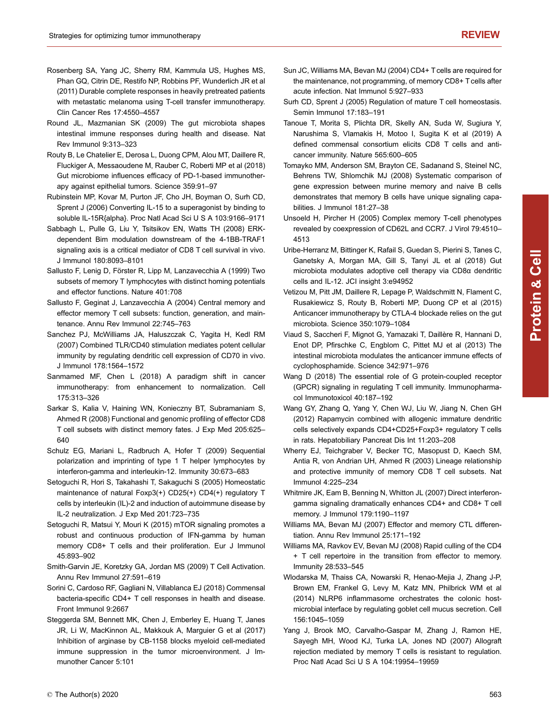- <span id="page-14-0"></span>Rosenberg SA, Yang JC, Sherry RM, Kammula US, Hughes MS, Phan GQ, Citrin DE, Restifo NP, Robbins PF, Wunderlich JR et al (2011) Durable complete responses in heavily pretreated patients with metastatic melanoma using T-cell transfer immunotherapy. Clin Cancer Res 17:4550–4557
- Round JL, Mazmanian SK (2009) The gut microbiota shapes intestinal immune responses during health and disease. Nat Rev Immunol 9:313–323
- Routy B, Le Chatelier E, Derosa L, Duong CPM, Alou MT, Daillere R, Fluckiger A, Messaoudene M, Rauber C, Roberti MP et al (2018) Gut microbiome influences efficacy of PD-1-based immunotherapy against epithelial tumors. Science 359:91–97
- Rubinstein MP, Kovar M, Purton JF, Cho JH, Boyman O, Surh CD, Sprent J (2006) Converting IL-15 to a superagonist by binding to soluble IL-15R{alpha}. Proc Natl Acad Sci U S A 103:9166–9171
- Sabbagh L, Pulle G, Liu Y, Tsitsikov EN, Watts TH (2008) ERKdependent Bim modulation downstream of the 4-1BB-TRAF1 signaling axis is a critical mediator of CD8 T cell survival in vivo. J Immunol 180:8093–8101
- Sallusto F, Lenig D, Förster R, Lipp M, Lanzavecchia A (1999) Two subsets of memory T lymphocytes with distinct homing potentials and effector functions. Nature 401:708
- Sallusto F, Geginat J, Lanzavecchia A (2004) Central memory and effector memory T cell subsets: function, generation, and maintenance. Annu Rev Immunol 22:745–763
- Sanchez PJ, McWilliams JA, Haluszczak C, Yagita H, Kedl RM (2007) Combined TLR/CD40 stimulation mediates potent cellular immunity by regulating dendritic cell expression of CD70 in vivo. J Immunol 178:1564–1572
- Sanmamed MF, Chen L (2018) A paradigm shift in cancer immunotherapy: from enhancement to normalization. Cell 175:313–326
- Sarkar S, Kalia V, Haining WN, Konieczny BT, Subramaniam S, Ahmed R (2008) Functional and genomic profiling of effector CD8 T cell subsets with distinct memory fates. J Exp Med 205:625– 640
- Schulz EG, Mariani L, Radbruch A, Hofer T (2009) Sequential polarization and imprinting of type 1 T helper lymphocytes by interferon-gamma and interleukin-12. Immunity 30:673–683
- Setoguchi R, Hori S, Takahashi T, Sakaguchi S (2005) Homeostatic maintenance of natural Foxp3(+) CD25(+) CD4(+) regulatory T cells by interleukin (IL)-2 and induction of autoimmune disease by IL-2 neutralization. J Exp Med 201:723–735
- Setoguchi R, Matsui Y, Mouri K (2015) mTOR signaling promotes a robust and continuous production of IFN-gamma by human memory CD8+ T cells and their proliferation. Eur J Immunol 45:893–902
- Smith-Garvin JE, Koretzky GA, Jordan MS (2009) T Cell Activation. Annu Rev Immunol 27:591–619
- Sorini C, Cardoso RF, Gagliani N, Villablanca EJ (2018) Commensal bacteria-specific CD4+ T cell responses in health and disease. Front Immunol 9:2667
- Steggerda SM, Bennett MK, Chen J, Emberley E, Huang T, Janes JR, Li W, MacKinnon AL, Makkouk A, Marguier G et al (2017) Inhibition of arginase by CB-1158 blocks myeloid cell-mediated immune suppression in the tumor microenvironment. J Immunother Cancer 5:101
- Sun JC, Williams MA, Bevan MJ (2004) CD4+ T cells are required for the maintenance, not programming, of memory CD8+ T cells after acute infection. Nat Immunol 5:927–933
- Surh CD, Sprent J (2005) Regulation of mature T cell homeostasis. Semin Immunol 17:183–191
- Tanoue T, Morita S, Plichta DR, Skelly AN, Suda W, Sugiura Y, Narushima S, Vlamakis H, Motoo I, Sugita K et al (2019) A defined commensal consortium elicits CD8 T cells and anticancer immunity. Nature 565:600–605
- Tomayko MM, Anderson SM, Brayton CE, Sadanand S, Steinel NC, Behrens TW, Shlomchik MJ (2008) Systematic comparison of gene expression between murine memory and naive B cells demonstrates that memory B cells have unique signaling capabilities. J Immunol 181:27–38
- Unsoeld H, Pircher H (2005) Complex memory T-cell phenotypes revealed by coexpression of CD62L and CCR7. J Virol 79:4510– 4513
- Uribe-Herranz M, Bittinger K, Rafail S, Guedan S, Pierini S, Tanes C, Ganetsky A, Morgan MA, Gill S, Tanyi JL et al (2018) Gut microbiota modulates adoptive cell therapy via CD8α dendritic cells and IL-12. JCI insight 3:e94952
- Vetizou M, Pitt JM, Daillere R, Lepage P, Waldschmitt N, Flament C, Rusakiewicz S, Routy B, Roberti MP, Duong CP et al (2015) Anticancer immunotherapy by CTLA-4 blockade relies on the gut microbiota. Science 350:1079–1084
- Viaud S, Saccheri F, Mignot G, Yamazaki T, Daillère R, Hannani D, Enot DP, Pfirschke C, Engblom C, Pittet MJ et al (2013) The intestinal microbiota modulates the anticancer immune effects of cyclophosphamide. Science 342:971–976
- Wang D (2018) The essential role of G protein-coupled receptor (GPCR) signaling in regulating T cell immunity. Immunopharmacol Immunotoxicol 40:187–192
- Wang GY, Zhang Q, Yang Y, Chen WJ, Liu W, Jiang N, Chen GH (2012) Rapamycin combined with allogenic immature dendritic cells selectively expands CD4+CD25+Foxp3+ regulatory T cells in rats. Hepatobiliary Pancreat Dis Int 11:203–208
- Wherry EJ, Teichgraber V, Becker TC, Masopust D, Kaech SM, Antia R, von Andrian UH, Ahmed R (2003) Lineage relationship and protective immunity of memory CD8 T cell subsets. Nat Immunol 4:225–234
- Whitmire JK, Eam B, Benning N, Whitton JL (2007) Direct interferongamma signaling dramatically enhances CD4+ and CD8+ T cell memory. J Immunol 179:1190–1197
- Williams MA, Bevan MJ (2007) Effector and memory CTL differentiation. Annu Rev Immunol 25:171–192
- Williams MA, Ravkov EV, Bevan MJ (2008) Rapid culling of the CD4 + T cell repertoire in the transition from effector to memory. Immunity 28:533–545
- Wlodarska M, Thaiss CA, Nowarski R, Henao-Mejia J, Zhang J-P, Brown EM, Frankel G, Levy M, Katz MN, Philbrick WM et al (2014) NLRP6 inflammasome orchestrates the colonic hostmicrobial interface by regulating goblet cell mucus secretion. Cell 156:1045–1059
- Yang J, Brook MO, Carvalho-Gaspar M, Zhang J, Ramon HE, Sayegh MH, Wood KJ, Turka LA, Jones ND (2007) Allograft rejection mediated by memory T cells is resistant to regulation. Proc Natl Acad Sci U S A 104:19954–19959